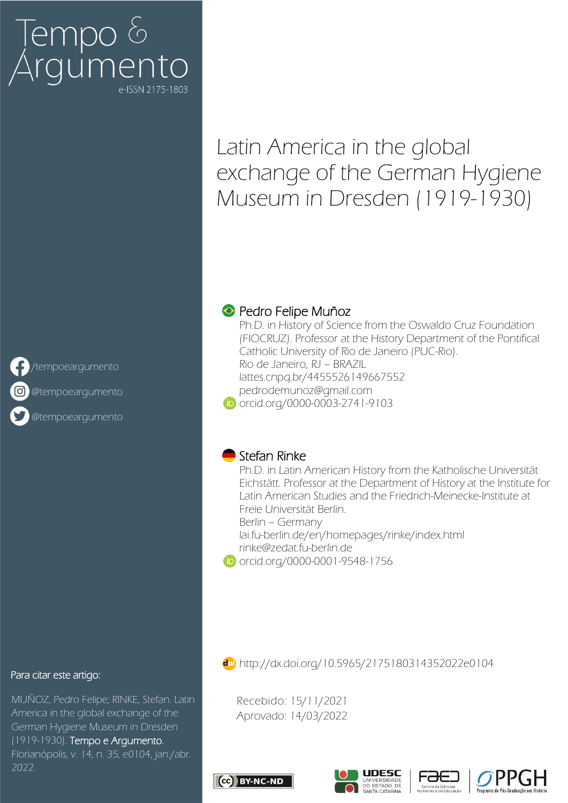# [empo &<br>\rgumento

# Latin America in the global exchange of the German Hygiene Museum in Dresden (1919-1930)



[/tempoeargumento](https://www.facebook.com/Revista-Tempo-e-Argumento-385612254786165/)

[@tempoeargumento](https://www.instagram.com/tempoeargumento)

[@tempoeargumento](https://twitter.com/tempoeargumento)

#### Para citar este artigo:

MUÑOZ, Pedro Felipe; RINKE, Stefan. Latin America in the global exchange of the German Hygiene Museum in Dresden (1919-1930). Tempo e Argumento, Florianópolis, v. 14, n. 35, e0104, jan./abr. 2022.

## **● Pedro Felipe Muñoz**

Ph.D. in History of Science from the Oswaldo Cruz Foundation (FIOCRUZ). Professor at the History Department of the Pontifical Catholic University of Rio de Janeiro (PUC-Rio). Rio de Janeiro, RJ – BRAZIL [lattes.cnpq.br/4455526149667552](http://lattes.cnpq.br/4455526149667552) [pedrodemunoz@gmail.com](mailto:pedrodemunoz@gmail.com) **iD** [orcid.org/0000-0003-2741-9103](http://orcid.org/0000-0003-2741-9103)

### Stefan Rinke

Ph.D. in Latin American History from the Katholische Universität Eichstätt. Professor at the Department of History at the Institute for Latin American Studies and the Friedrich-Meinecke-Institute at Freie Universität Berlin. Berlin – Germany

[lai.fu-berlin.de/en/homepages/rinke/index.html](https://www.lai.fu-berlin.de/en/homepages/rinke/index.html) [rinke@zedat.fu-berlin.de](mailto:rinke@zedat.fu-berlin.de)

[orcid.org/0000-0001-9548-1756](http://orcid.org/0000-0001-9548-1756)

<http://dx.doi.org/10.5965/2175180314352022e0104>

Recebido: 15/11/2021 Aprovado: 14/03/2022







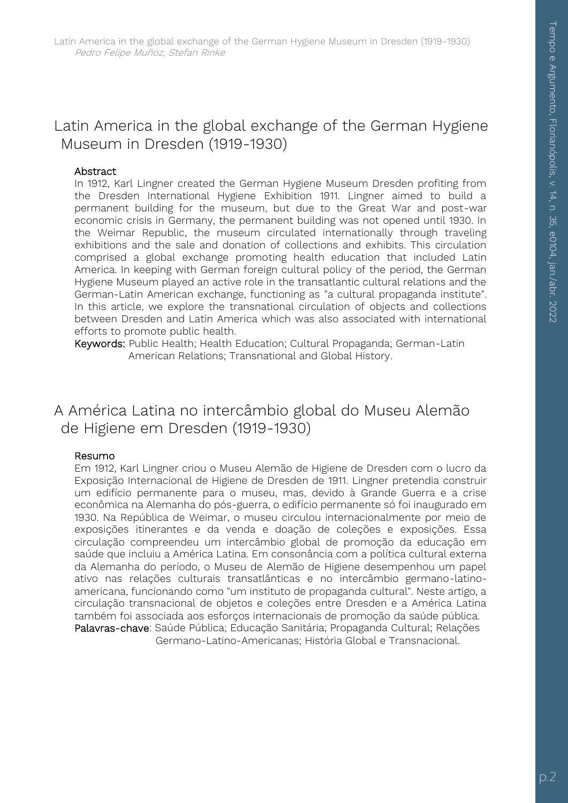# Latin America in the global exchange of the German Hygiene Museum in Dresden (1919-1930)

#### Abstract

In 1912, Karl Lingner created the German Hygiene Museum Dresden profiting from the Dresden International Hygiene Exhibition 1911. Lingner aimed to build a permanent building for the museum, but due to the Great War and post-war economic crisis in Germany, the permanent building was not opened until 1930. In the Weimar Republic, the museum circulated internationally through traveling exhibitions and the sale and donation of collections and exhibits. This circulation comprised a global exchange promoting health education that included Latin America. In keeping with German foreign cultural policy of the period, the German Hygiene Museum played an active role in the transatlantic cultural relations and the German-Latin American exchange, functioning as "a cultural propaganda institute". In this article, we explore the transnational circulation of objects and collections between Dresden and Latin America which was also associated with international efforts to promote public health.

Keywords: Public Health; Health Education; Cultural Propaganda; German-Latin American Relations; Transnational and Global History.

# A América Latina no intercâmbio global do Museu Alemão de Higiene em Dresden (1919-1930)

#### Resumo

Em 1912, Karl Lingner criou o Museu Alemão de Higiene de Dresden com o lucro da Exposição Internacional de Higiene de Dresden de 1911. Lingner pretendia construir um edifício permanente para o museu, mas, devido à Grande Guerra e a crise econômica na Alemanha do pós-guerra, o edifício permanente só foi inaugurado em 1930. Na República de Weimar, o museu circulou internacionalmente por meio de exposições itinerantes e da venda e doação de coleções e exposições. Essa circulação compreendeu um intercâmbio global de promoção da educação em saúde que incluiu a América Latina. Em consonância com a política cultural externa da Alemanha do período, o Museu de Alemão de Higiene desempenhou um papel ativo nas relações culturais transatlânticas e no intercâmbio germano-latinoamericana, funcionando como "um instituto de propaganda cultural". Neste artigo, a circulação transnacional de objetos e coleções entre Dresden e a América Latina também foi associada aos esforços internacionais de promoção da saúde pública. Palavras-chave: Saúde Pública; Educação Sanitária; Propaganda Cultural; Relações Germano-Latino-Americanas; História Global e Transnacional.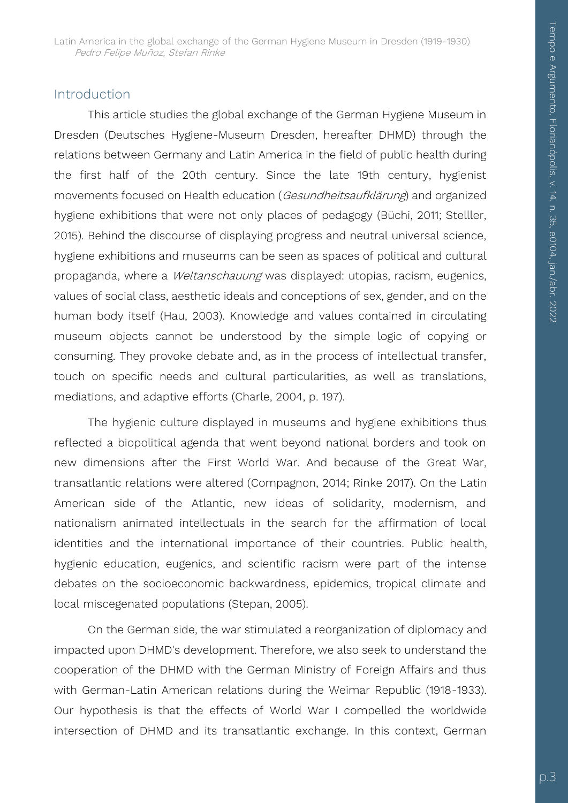#### Introduction

This article studies the global exchange of the German Hygiene Museum in Dresden (Deutsches Hygiene-Museum Dresden, hereafter DHMD) through the relations between Germany and Latin America in the field of public health during the first half of the 20th century. Since the late 19th century, hygienist movements focused on Health education (Gesundheitsaufklärung) and organized hygiene exhibitions that were not only places of pedagogy (Büchi, 2011; Stelller, 2015). Behind the discourse of displaying progress and neutral universal science, hygiene exhibitions and museums can be seen as spaces of political and cultural propaganda, where a Weltanschauung was displayed: utopias, racism, eugenics, values of social class, aesthetic ideals and conceptions of sex, gender, and on the human body itself (Hau, 2003). Knowledge and values contained in circulating museum objects cannot be understood by the simple logic of copying or consuming. They provoke debate and, as in the process of intellectual transfer, touch on specific needs and cultural particularities, as well as translations, mediations, and adaptive efforts (Charle, 2004, p. 197).

The hygienic culture displayed in museums and hygiene exhibitions thus reflected a biopolitical agenda that went beyond national borders and took on new dimensions after the First World War. And because of the Great War, transatlantic relations were altered (Compagnon, 2014; Rinke 2017). On the Latin American side of the Atlantic, new ideas of solidarity, modernism, and nationalism animated intellectuals in the search for the affirmation of local identities and the international importance of their countries. Public health, hygienic education, eugenics, and scientific racism were part of the intense debates on the socioeconomic backwardness, epidemics, tropical climate and local miscegenated populations (Stepan, 2005).

On the German side, the war stimulated a reorganization of diplomacy and impacted upon DHMD's development. Therefore, we also seek to understand the cooperation of the DHMD with the German Ministry of Foreign Affairs and thus with German-Latin American relations during the Weimar Republic (1918-1933). Our hypothesis is that the effects of World War I compelled the worldwide intersection of DHMD and its transatlantic exchange. In this context, German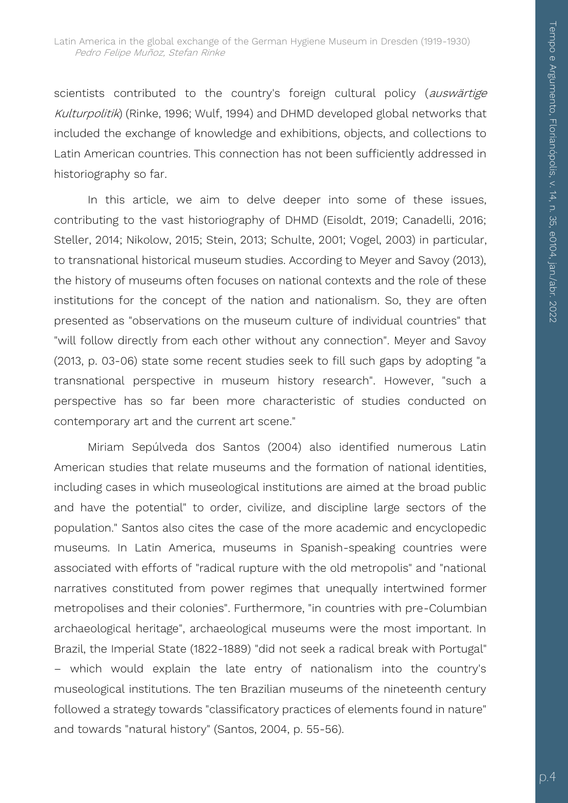scientists contributed to the country's foreign cultural policy (auswärtige Kulturpolitik) (Rinke, 1996; Wulf, 1994) and DHMD developed global networks that included the exchange of knowledge and exhibitions, objects, and collections to Latin American countries. This connection has not been sufficiently addressed in historiography so far.

In this article, we aim to delve deeper into some of these issues, contributing to the vast historiography of DHMD (Eisoldt, 2019; Canadelli, 2016; Steller, 2014; Nikolow, 2015; Stein, 2013; Schulte, 2001; Vogel, 2003) in particular, to transnational historical museum studies. According to Meyer and Savoy (2013), the history of museums often focuses on national contexts and the role of these institutions for the concept of the nation and nationalism. So, they are often presented as "observations on the museum culture of individual countries" that "will follow directly from each other without any connection". Meyer and Savoy (2013, p. 03-06) state some recent studies seek to fill such gaps by adopting "a transnational perspective in museum history research". However, "such a perspective has so far been more characteristic of studies conducted on contemporary art and the current art scene."

Miriam Sepúlveda dos Santos (2004) also identified numerous Latin American studies that relate museums and the formation of national identities, including cases in which museological institutions are aimed at the broad public and have the potential" to order, civilize, and discipline large sectors of the population." Santos also cites the case of the more academic and encyclopedic museums. In Latin America, museums in Spanish-speaking countries were associated with efforts of "radical rupture with the old metropolis" and "national narratives constituted from power regimes that unequally intertwined former metropolises and their colonies". Furthermore, "in countries with pre-Columbian archaeological heritage", archaeological museums were the most important. In Brazil, the Imperial State (1822-1889) "did not seek a radical break with Portugal" – which would explain the late entry of nationalism into the country's museological institutions. The ten Brazilian museums of the nineteenth century followed a strategy towards "classificatory practices of elements found in nature" and towards "natural history" (Santos, 2004, p. 55-56).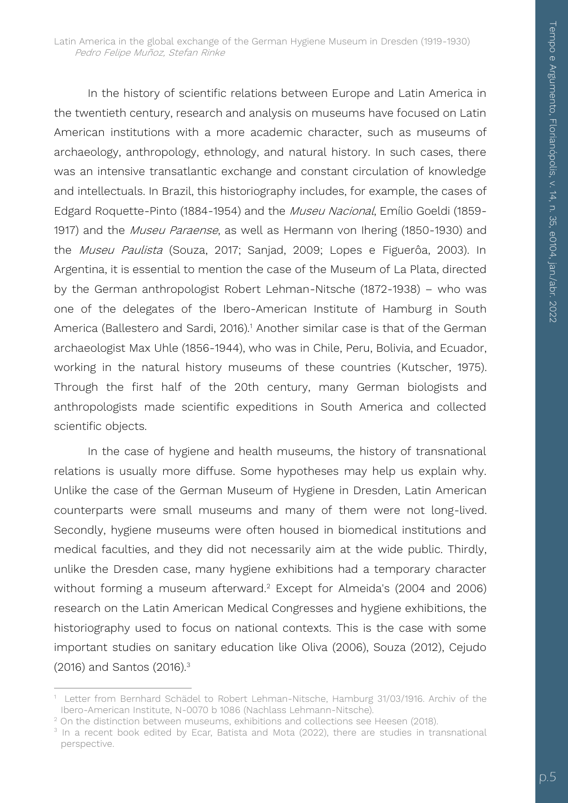In the history of scientific relations between Europe and Latin America in the twentieth century, research and analysis on museums have focused on Latin American institutions with a more academic character, such as museums of archaeology, anthropology, ethnology, and natural history. In such cases, there was an intensive transatlantic exchange and constant circulation of knowledge and intellectuals. In Brazil, this historiography includes, for example, the cases of Edgard Roquette-Pinto (1884-1954) and the Museu Nacional, Emílio Goeldi (1859- 1917) and the Museu Paraense, as well as Hermann von Ihering (1850-1930) and the Museu Paulista (Souza, 2017; Sanjad, 2009; Lopes e Figuerôa, 2003). In Argentina, it is essential to mention the case of the Museum of La Plata, directed by the German anthropologist Robert Lehman-Nitsche (1872-1938) – who was one of the delegates of the Ibero-American Institute of Hamburg in South America (Ballestero and Sardi, 2016).<sup>1</sup> Another similar case is that of the German archaeologist Max Uhle (1856-1944), who was in Chile, Peru, Bolivia, and Ecuador, working in the natural history museums of these countries (Kutscher, 1975). Through the first half of the 20th century, many German biologists and anthropologists made scientific expeditions in South America and collected scientific objects.

In the case of hygiene and health museums, the history of transnational relations is usually more diffuse. Some hypotheses may help us explain why. Unlike the case of the German Museum of Hygiene in Dresden, Latin American counterparts were small museums and many of them were not long-lived. Secondly, hygiene museums were often housed in biomedical institutions and medical faculties, and they did not necessarily aim at the wide public. Thirdly, unlike the Dresden case, many hygiene exhibitions had a temporary character without forming a museum afterward.<sup>2</sup> Except for Almeida's (2004 and 2006) research on the Latin American Medical Congresses and hygiene exhibitions, the historiography used to focus on national contexts. This is the case with some important studies on sanitary education like Oliva (2006), Souza (2012), Cejudo (2016) and Santos (2016).<sup>3</sup>

<sup>1</sup> 1 Letter from Bernhard Schädel to Robert Lehman-Nitsche, Hamburg 31/03/1916. Archiv of the Ibero-American Institute, N-0070 b 1086 (Nachlass Lehmann-Nitsche).

<sup>&</sup>lt;sup>2</sup> On the distinction between museums, exhibitions and collections see Heesen (2018).

<sup>&</sup>lt;sup>3</sup> In a recent book edited by Ecar, Batista and Mota (2022), there are studies in transnational perspective.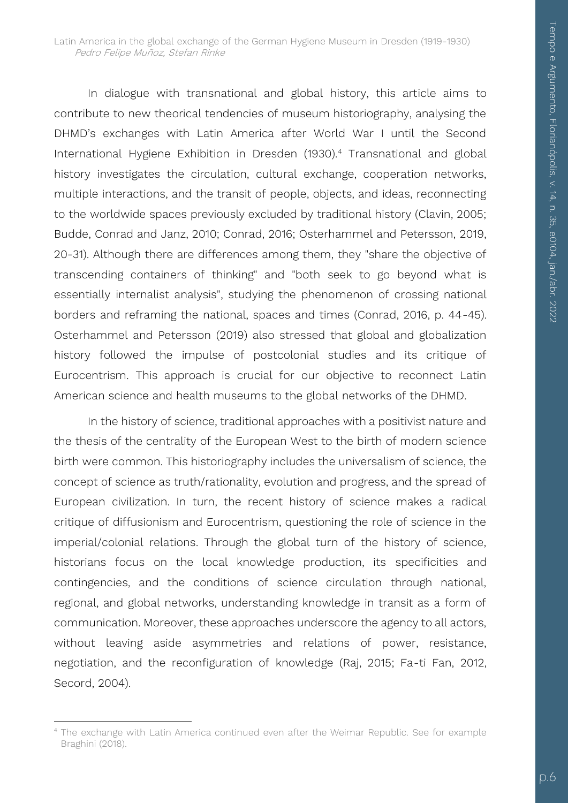In dialogue with transnational and global history, this article aims to contribute to new theorical tendencies of museum historiography, analysing the DHMD's exchanges with Latin America after World War I until the Second International Hygiene Exhibition in Dresden (1930).<sup>4</sup> Transnational and global history investigates the circulation, cultural exchange, cooperation networks, multiple interactions, and the transit of people, objects, and ideas, reconnecting to the worldwide spaces previously excluded by traditional history (Clavin, 2005; Budde, Conrad and Janz, 2010; Conrad, 2016; Osterhammel and Petersson, 2019, 20-31). Although there are differences among them, they "share the objective of transcending containers of thinking" and "both seek to go beyond what is essentially internalist analysis", studying the phenomenon of crossing national borders and reframing the national, spaces and times (Conrad, 2016, p. 44-45). Osterhammel and Petersson (2019) also stressed that global and globalization history followed the impulse of postcolonial studies and its critique of Eurocentrism. This approach is crucial for our objective to reconnect Latin American science and health museums to the global networks of the DHMD.

In the history of science, traditional approaches with a positivist nature and the thesis of the centrality of the European West to the birth of modern science birth were common. This historiography includes the universalism of science, the concept of science as truth/rationality, evolution and progress, and the spread of European civilization. In turn, the recent history of science makes a radical critique of diffusionism and Eurocentrism, questioning the role of science in the imperial/colonial relations. Through the global turn of the history of science, historians focus on the local knowledge production, its specificities and contingencies, and the conditions of science circulation through national, regional, and global networks, understanding knowledge in transit as a form of communication. Moreover, these approaches underscore the agency to all actors, without leaving aside asymmetries and relations of power, resistance, negotiation, and the reconfiguration of knowledge (Raj, 2015; Fa-ti Fan, 2012, Secord, 2004).

<sup>1</sup> <sup>4</sup> The exchange with Latin America continued even after the Weimar Republic. See for example Braghini (2018).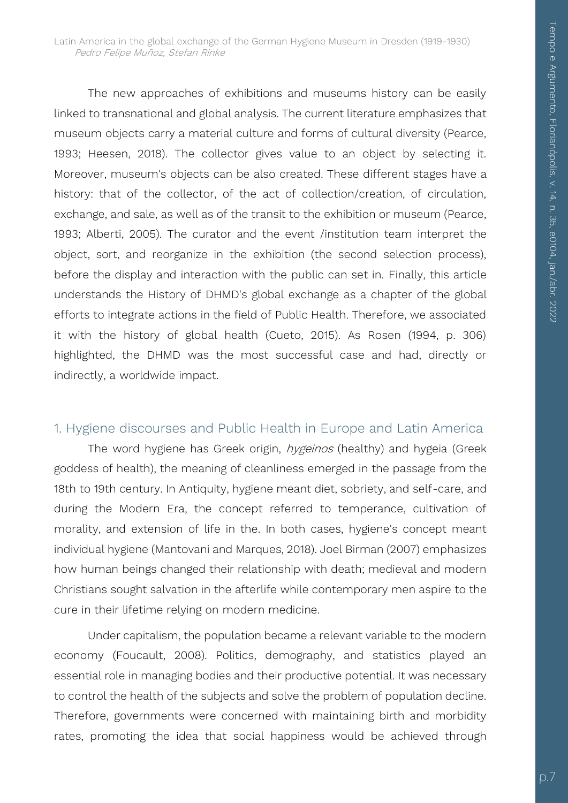The new approaches of exhibitions and museums history can be easily linked to transnational and global analysis. The current literature emphasizes that museum objects carry a material culture and forms of cultural diversity (Pearce, 1993; Heesen, 2018). The collector gives value to an object by selecting it. Moreover, museum's objects can be also created. These different stages have a history: that of the collector, of the act of collection/creation, of circulation, exchange, and sale, as well as of the transit to the exhibition or museum (Pearce, 1993; Alberti, 2005). The curator and the event /institution team interpret the object, sort, and reorganize in the exhibition (the second selection process), before the display and interaction with the public can set in. Finally, this article understands the History of DHMD's global exchange as a chapter of the global efforts to integrate actions in the field of Public Health. Therefore, we associated it with the history of global health (Cueto, 2015). As Rosen (1994, p. 306) highlighted, the DHMD was the most successful case and had, directly or indirectly, a worldwide impact.

#### 1. Hygiene discourses and Public Health in Europe and Latin America

The word hygiene has Greek origin, *hygeinos* (healthy) and hygeia (Greek goddess of health), the meaning of cleanliness emerged in the passage from the 18th to 19th century. In Antiquity, hygiene meant diet, sobriety, and self-care, and during the Modern Era, the concept referred to temperance, cultivation of morality, and extension of life in the. In both cases, hygiene's concept meant individual hygiene (Mantovani and Marques, 2018). Joel Birman (2007) emphasizes how human beings changed their relationship with death; medieval and modern Christians sought salvation in the afterlife while contemporary men aspire to the cure in their lifetime relying on modern medicine.

Under capitalism, the population became a relevant variable to the modern economy (Foucault, 2008). Politics, demography, and statistics played an essential role in managing bodies and their productive potential. It was necessary to control the health of the subjects and solve the problem of population decline. Therefore, governments were concerned with maintaining birth and morbidity rates, promoting the idea that social happiness would be achieved through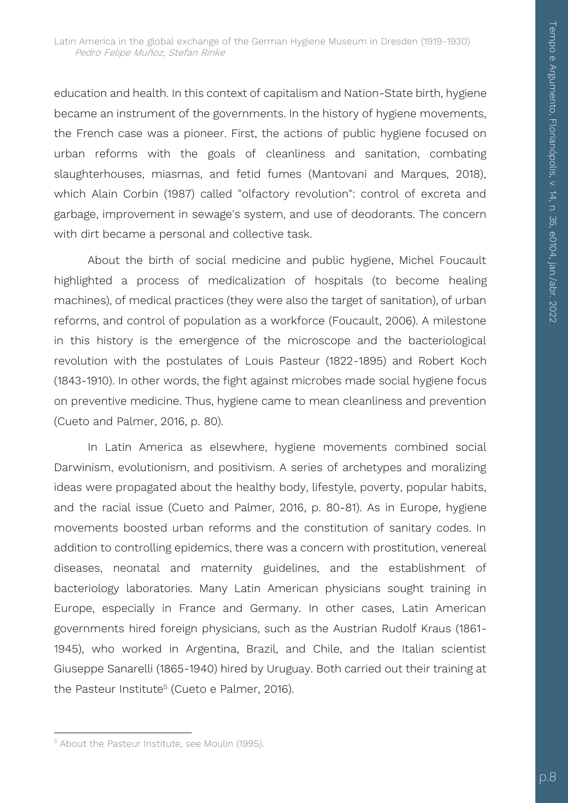education and health. In this context of capitalism and Nation-State birth, hygiene became an instrument of the governments. In the history of hygiene movements, the French case was a pioneer. First, the actions of public hygiene focused on urban reforms with the goals of cleanliness and sanitation, combating slaughterhouses, miasmas, and fetid fumes (Mantovani and Marques, 2018), which Alain Corbin (1987) called "olfactory revolution": control of excreta and garbage, improvement in sewage's system, and use of deodorants. The concern with dirt became a personal and collective task.

About the birth of social medicine and public hygiene, Michel Foucault highlighted a process of medicalization of hospitals (to become healing machines), of medical practices (they were also the target of sanitation), of urban reforms, and control of population as a workforce (Foucault, 2006). A milestone in this history is the emergence of the microscope and the bacteriological revolution with the postulates of Louis Pasteur (1822-1895) and Robert Koch (1843-1910). In other words, the fight against microbes made social hygiene focus on preventive medicine. Thus, hygiene came to mean cleanliness and prevention (Cueto and Palmer, 2016, p. 80).

In Latin America as elsewhere, hygiene movements combined social Darwinism, evolutionism, and positivism. A series of archetypes and moralizing ideas were propagated about the healthy body, lifestyle, poverty, popular habits, and the racial issue (Cueto and Palmer, 2016, p. 80-81). As in Europe, hygiene movements boosted urban reforms and the constitution of sanitary codes. In addition to controlling epidemics, there was a concern with prostitution, venereal diseases, neonatal and maternity guidelines, and the establishment of bacteriology laboratories. Many Latin American physicians sought training in Europe, especially in France and Germany. In other cases, Latin American governments hired foreign physicians, such as the Austrian Rudolf Kraus (1861- 1945), who worked in Argentina, Brazil, and Chile, and the Italian scientist Giuseppe Sanarelli (1865-1940) hired by Uruguay. Both carried out their training at the Pasteur Institute<sup>5</sup> (Cueto e Palmer, 2016).

1

<sup>5</sup> About the Pasteur Institute, see Moulin (1995).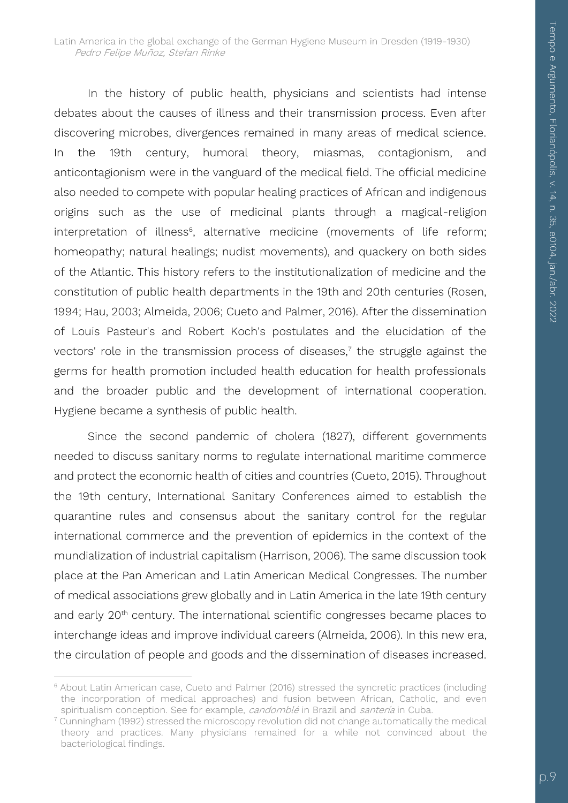In the history of public health, physicians and scientists had intense debates about the causes of illness and their transmission process. Even after discovering microbes, divergences remained in many areas of medical science. In the 19th century, humoral theory, miasmas, contagionism, and anticontagionism were in the vanguard of the medical field. The official medicine also needed to compete with popular healing practices of African and indigenous origins such as the use of medicinal plants through a magical-religion interpretation of illness<sup>6</sup>, alternative medicine (movements of life reform; homeopathy; natural healings; nudist movements), and quackery on both sides of the Atlantic. This history refers to the institutionalization of medicine and the constitution of public health departments in the 19th and 20th centuries (Rosen, 1994; Hau, 2003; Almeida, 2006; Cueto and Palmer, 2016). After the dissemination of Louis Pasteur's and Robert Koch's postulates and the elucidation of the vectors' role in the transmission process of diseases, $\frac{1}{7}$  the struggle against the germs for health promotion included health education for health professionals and the broader public and the development of international cooperation. Hygiene became a synthesis of public health.

Since the second pandemic of cholera (1827), different governments needed to discuss sanitary norms to regulate international maritime commerce and protect the economic health of cities and countries (Cueto, 2015). Throughout the 19th century, International Sanitary Conferences aimed to establish the quarantine rules and consensus about the sanitary control for the regular international commerce and the prevention of epidemics in the context of the mundialization of industrial capitalism (Harrison, 2006). The same discussion took place at the Pan American and Latin American Medical Congresses. The number of medical associations grew globally and in Latin America in the late 19th century and early 20<sup>th</sup> century. The international scientific congresses became places to interchange ideas and improve individual careers (Almeida, 2006). In this new era, the circulation of people and goods and the dissemination of diseases increased.

 $\overline{a}$ <sup>6</sup> About Latin American case, Cueto and Palmer (2016) stressed the syncretic practices (including the incorporation of medical approaches) and fusion between African, Catholic, and even spiritualism conception. See for example, *candomblé* in Brazil and santería in Cuba.

 $7$  Cunningham (1992) stressed the microscopy revolution did not change automatically the medical theory and practices. Many physicians remained for a while not convinced about the bacteriological findings.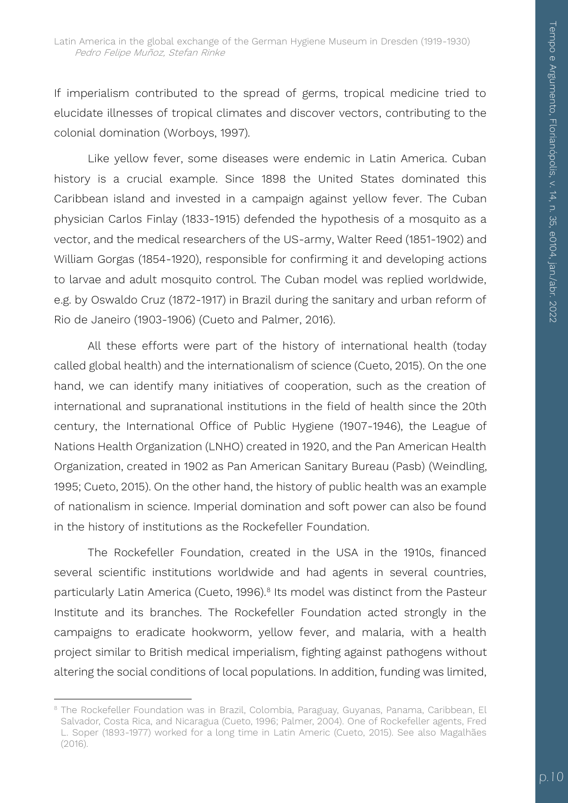If imperialism contributed to the spread of germs, tropical medicine tried to elucidate illnesses of tropical climates and discover vectors, contributing to the colonial domination (Worboys, 1997).

Like yellow fever, some diseases were endemic in Latin America. Cuban history is a crucial example. Since 1898 the United States dominated this Caribbean island and invested in a campaign against yellow fever. The Cuban physician Carlos Finlay (1833-1915) defended the hypothesis of a mosquito as a vector, and the medical researchers of the US-army, Walter Reed (1851-1902) and William Gorgas (1854-1920), responsible for confirming it and developing actions to larvae and adult mosquito control. The Cuban model was replied worldwide, e.g. by Oswaldo Cruz (1872-1917) in Brazil during the sanitary and urban reform of Rio de Janeiro (1903-1906) (Cueto and Palmer, 2016).

All these efforts were part of the history of international health (today called global health) and the internationalism of science (Cueto, 2015). On the one hand, we can identify many initiatives of cooperation, such as the creation of international and supranational institutions in the field of health since the 20th century, the International Office of Public Hygiene (1907-1946), the League of Nations Health Organization (LNHO) created in 1920, and the Pan American Health Organization, created in 1902 as Pan American Sanitary Bureau (Pasb) (Weindling, 1995; Cueto, 2015). On the other hand, the history of public health was an example of nationalism in science. Imperial domination and soft power can also be found in the history of institutions as the Rockefeller Foundation.

The Rockefeller Foundation, created in the USA in the 1910s, financed several scientific institutions worldwide and had agents in several countries, particularly Latin America (Cueto, 1996).<sup>8</sup> Its model was distinct from the Pasteur Institute and its branches. The Rockefeller Foundation acted strongly in the campaigns to eradicate hookworm, yellow fever, and malaria, with a health project similar to British medical imperialism, fighting against pathogens without altering the social conditions of local populations. In addition, funding was limited,

1

<sup>&</sup>lt;sup>8</sup> The Rockefeller Foundation was in Brazil, Colombia, Paraguay, Guyanas, Panama, Caribbean, El Salvador, Costa Rica, and Nicaragua (Cueto, 1996; Palmer, 2004). One of Rockefeller agents, Fred L. Soper (1893-1977) worked for a long time in Latin Americ (Cueto, 2015). See also Magalhães (2016).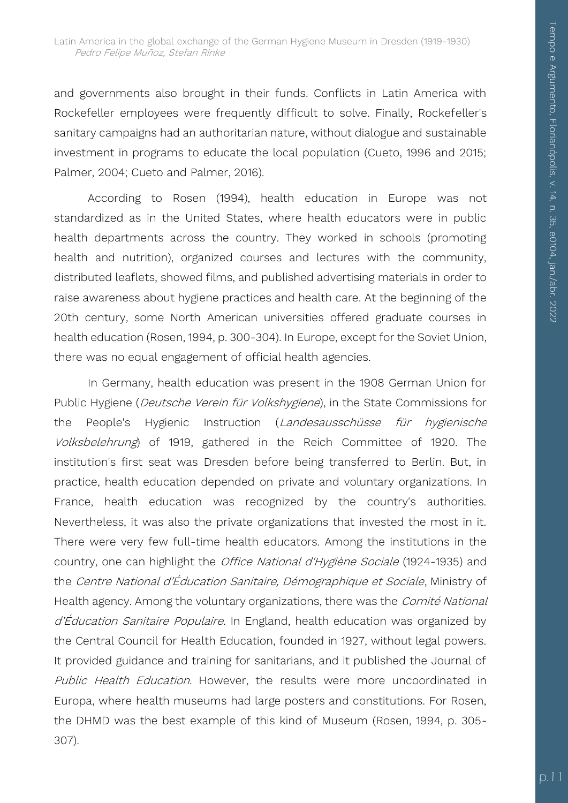and governments also brought in their funds. Conflicts in Latin America with Rockefeller employees were frequently difficult to solve. Finally, Rockefeller's sanitary campaigns had an authoritarian nature, without dialogue and sustainable investment in programs to educate the local population (Cueto, 1996 and 2015; Palmer, 2004; Cueto and Palmer, 2016).

According to Rosen (1994), health education in Europe was not standardized as in the United States, where health educators were in public health departments across the country. They worked in schools (promoting health and nutrition), organized courses and lectures with the community, distributed leaflets, showed films, and published advertising materials in order to raise awareness about hygiene practices and health care. At the beginning of the 20th century, some North American universities offered graduate courses in health education (Rosen, 1994, p. 300-304). In Europe, except for the Soviet Union, there was no equal engagement of official health agencies.

In Germany, health education was present in the 1908 German Union for Public Hygiene (Deutsche Verein für Volkshygiene), in the State Commissions for the People's Hygienic Instruction (Landesausschüsse für hygienische Volksbelehrung) of 1919, gathered in the Reich Committee of 1920. The institution's first seat was Dresden before being transferred to Berlin. But, in practice, health education depended on private and voluntary organizations. In France, health education was recognized by the country's authorities. Nevertheless, it was also the private organizations that invested the most in it. There were very few full-time health educators. Among the institutions in the country, one can highlight the *Office National d'Hygiène Sociale* (1924-1935) and the Centre National d'Éducation Sanitaire, Démographique et Sociale, Ministry of Health agency. Among the voluntary organizations, there was the Comité National d'Éducation Sanitaire Populaire. In England, health education was organized by the Central Council for Health Education, founded in 1927, without legal powers. It provided guidance and training for sanitarians, and it published the Journal of Public Health Education. However, the results were more uncoordinated in Europa, where health museums had large posters and constitutions. For Rosen, the DHMD was the best example of this kind of Museum (Rosen, 1994, p. 305- 307).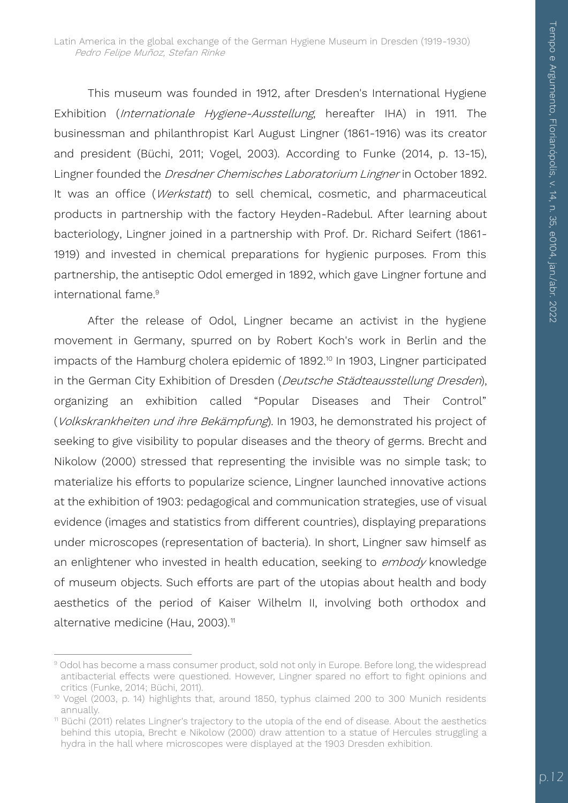This museum was founded in 1912, after Dresden's International Hygiene Exhibition (*Internationale Hygiene-Ausstellung*, hereafter IHA) in 1911. The businessman and philanthropist Karl August Lingner (1861-1916) was its creator and president (Büchi, 2011; Vogel, 2003). According to Funke (2014, p. 13-15), Lingner founded the Dresdner Chemisches Laboratorium Lingner in October 1892. It was an office (Werkstatt) to sell chemical, cosmetic, and pharmaceutical products in partnership with the factory Heyden-Radebul. After learning about bacteriology, Lingner joined in a partnership with Prof. Dr. Richard Seifert (1861- 1919) and invested in chemical preparations for hygienic purposes. From this partnership, the antiseptic Odol emerged in 1892, which gave Lingner fortune and international fame.<sup>9</sup>

After the release of Odol, Lingner became an activist in the hygiene movement in Germany, spurred on by Robert Koch's work in Berlin and the impacts of the Hamburg cholera epidemic of 1892.<sup>10</sup> In 1903, Lingner participated in the German City Exhibition of Dresden (Deutsche Städteausstellung Dresden), organizing an exhibition called "Popular Diseases and Their Control" (Volkskrankheiten und ihre Bekämpfung). In 1903, he demonstrated his project of seeking to give visibility to popular diseases and the theory of germs. Brecht and Nikolow (2000) stressed that representing the invisible was no simple task; to materialize his efforts to popularize science, Lingner launched innovative actions at the exhibition of 1903: pedagogical and communication strategies, use of visual evidence (images and statistics from different countries), displaying preparations under microscopes (representation of bacteria). In short, Lingner saw himself as an enlightener who invested in health education, seeking to embody knowledge of museum objects. Such efforts are part of the utopias about health and body aesthetics of the period of Kaiser Wilhelm II, involving both orthodox and alternative medicine (Hau, 2003).<sup>11</sup>

<sup>1</sup> <sup>9</sup> Odol has become a mass consumer product, sold not only in Europe. Before long, the widespread antibacterial effects were questioned. However, Lingner spared no effort to fight opinions and critics (Funke, 2014; Büchi, 2011).

<sup>&</sup>lt;sup>10</sup> Vogel (2003, p. 14) highlights that, around 1850, typhus claimed 200 to 300 Munich residents annually.

<sup>&</sup>lt;sup>11</sup> Büchi (2011) relates Lingner's trajectory to the utopia of the end of disease. About the aesthetics behind this utopia, Brecht e Nikolow (2000) draw attention to a statue of Hercules struggling a hydra in the hall where microscopes were displayed at the 1903 Dresden exhibition.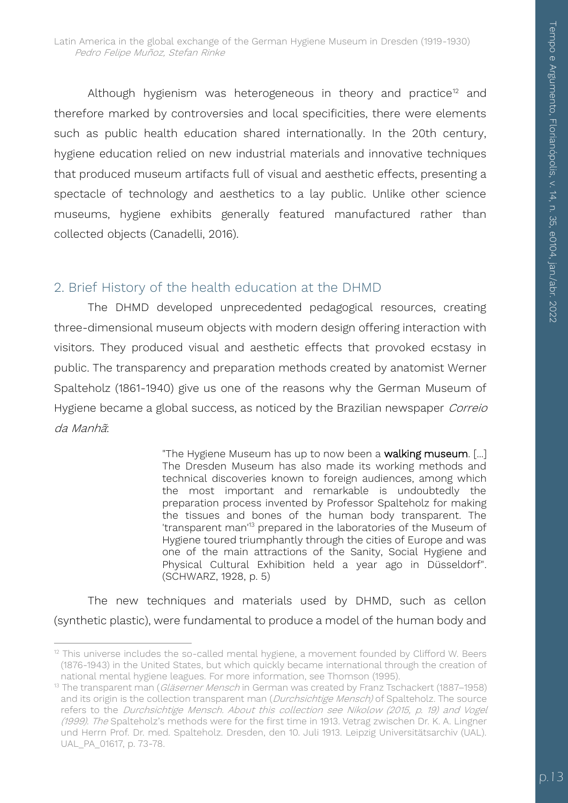Although hygienism was heterogeneous in theory and practice<sup>12</sup> and therefore marked by controversies and local specificities, there were elements such as public health education shared internationally. In the 20th century, hygiene education relied on new industrial materials and innovative techniques that produced museum artifacts full of visual and aesthetic effects, presenting a spectacle of technology and aesthetics to a lay public. Unlike other science museums, hygiene exhibits generally featured manufactured rather than collected objects (Canadelli, 2016).

#### 2. Brief History of the health education at the DHMD

The DHMD developed unprecedented pedagogical resources, creating three-dimensional museum objects with modern design offering interaction with visitors. They produced visual and aesthetic effects that provoked ecstasy in public. The transparency and preparation methods created by anatomist Werner Spalteholz (1861-1940) give us one of the reasons why the German Museum of Hygiene became a global success, as noticed by the Brazilian newspaper Correio da Manhã:

> "The Hygiene Museum has up to now been a walking museum. [...] The Dresden Museum has also made its working methods and technical discoveries known to foreign audiences, among which the most important and remarkable is undoubtedly the preparation process invented by Professor Spalteholz for making the tissues and bones of the human body transparent. The 'transparent man'<sup>13</sup> prepared in the laboratories of the Museum of Hygiene toured triumphantly through the cities of Europe and was one of the main attractions of the Sanity, Social Hygiene and Physical Cultural Exhibition held a year ago in Düsseldorf". (SCHWARZ, 1928, p. 5)

The new techniques and materials used by DHMD, such as cellon (synthetic plastic), were fundamental to produce a model of the human body and

 $\overline{a}$  $12$  This universe includes the so-called mental hygiene, a movement founded by Clifford W. Beers (1876-1943) in the United States, but which quickly became international through the creation of national mental hygiene leagues. For more information, see Thomson (1995).

<sup>&</sup>lt;sup>13</sup> The transparent man (Gläserner Mensch in German was created by Franz Tschackert (1887–1958) and its origin is the collection transparent man (Durchsichtige Mensch) of Spalteholz. The source refers to the Durchsichtige Mensch. About this collection see Nikolow (2015, p. 19) and Vogel (1999). The Spalteholz's methods were for the first time in 1913. Vetrag zwischen Dr. K. A. Lingner und Herrn Prof. Dr. med. Spalteholz. Dresden, den 10. Juli 1913. Leipzig Universitätsarchiv (UAL). UAL\_PA\_01617, p. 73-78.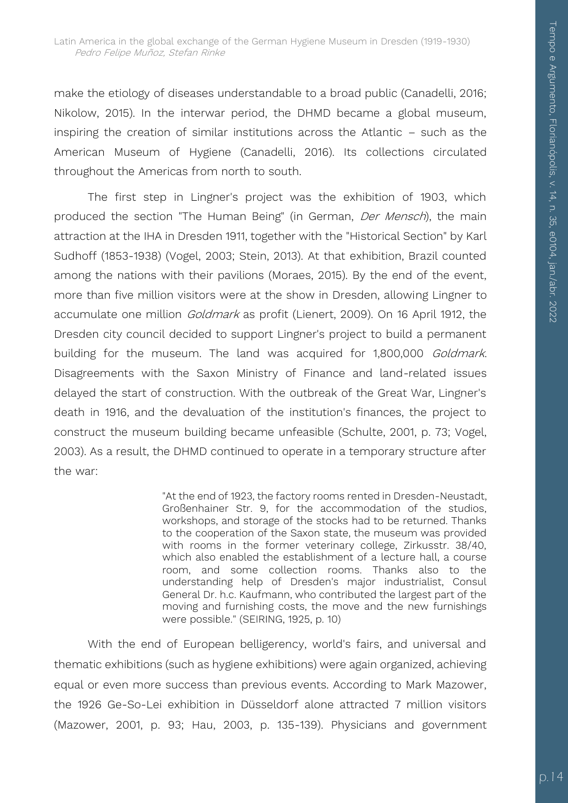make the etiology of diseases understandable to a broad public (Canadelli, 2016; Nikolow, 2015). In the interwar period, the DHMD became a global museum, inspiring the creation of similar institutions across the Atlantic – such as the American Museum of Hygiene (Canadelli, 2016). Its collections circulated throughout the Americas from north to south.

The first step in Lingner's project was the exhibition of 1903, which produced the section "The Human Being" (in German, *Der Mensch*), the main attraction at the IHA in Dresden 1911, together with the "Historical Section" by Karl Sudhoff (1853-1938) (Vogel, 2003; Stein, 2013). At that exhibition, Brazil counted among the nations with their pavilions (Moraes, 2015). By the end of the event, more than five million visitors were at the show in Dresden, allowing Lingner to accumulate one million *Goldmark* as profit (Lienert, 2009). On 16 April 1912, the Dresden city council decided to support Lingner's project to build a permanent building for the museum. The land was acquired for 1,800,000 Goldmark. Disagreements with the Saxon Ministry of Finance and land-related issues delayed the start of construction. With the outbreak of the Great War, Lingner's death in 1916, and the devaluation of the institution's finances, the project to construct the museum building became unfeasible (Schulte, 2001, p. 73; Vogel, 2003). As a result, the DHMD continued to operate in a temporary structure after the war:

> "At the end of 1923, the factory rooms rented in Dresden-Neustadt, Großenhainer Str. 9, for the accommodation of the studios, workshops, and storage of the stocks had to be returned. Thanks to the cooperation of the Saxon state, the museum was provided with rooms in the former veterinary college, Zirkusstr. 38/40, which also enabled the establishment of a lecture hall, a course room, and some collection rooms. Thanks also to the understanding help of Dresden's major industrialist, Consul General Dr. h.c. Kaufmann, who contributed the largest part of the moving and furnishing costs, the move and the new furnishings were possible." (SEIRING, 1925, p. 10)

With the end of European belligerency, world's fairs, and universal and thematic exhibitions (such as hygiene exhibitions) were again organized, achieving equal or even more success than previous events. According to Mark Mazower, the 1926 Ge-So-Lei exhibition in Düsseldorf alone attracted 7 million visitors (Mazower, 2001, p. 93; Hau, 2003, p. 135-139). Physicians and government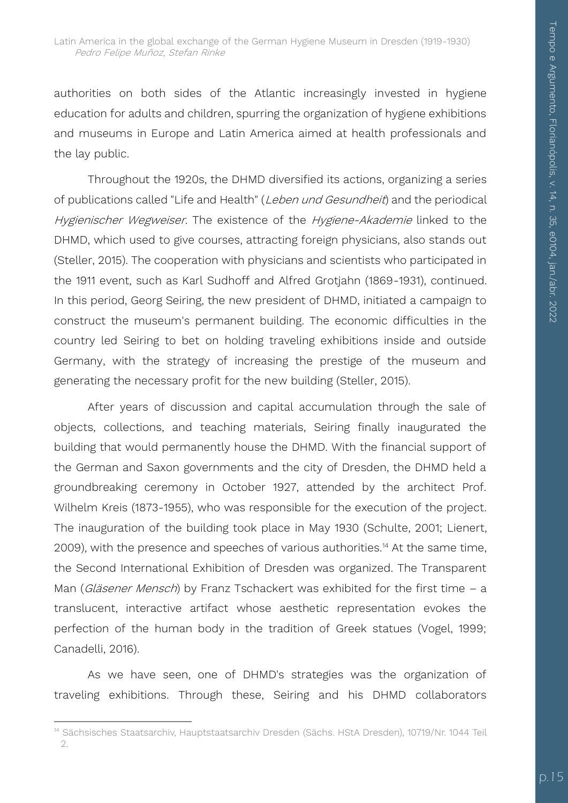authorities on both sides of the Atlantic increasingly invested in hygiene education for adults and children, spurring the organization of hygiene exhibitions and museums in Europe and Latin America aimed at health professionals and the lay public.

Throughout the 1920s, the DHMD diversified its actions, organizing a series of publications called "Life and Health" (Leben und Gesundheit) and the periodical Hygienischer Wegweiser. The existence of the Hygiene-Akademie linked to the DHMD, which used to give courses, attracting foreign physicians, also stands out (Steller, 2015). The cooperation with physicians and scientists who participated in the 1911 event, such as Karl Sudhoff and Alfred Grotjahn (1869-1931), continued. In this period, Georg Seiring, the new president of DHMD, initiated a campaign to construct the museum's permanent building. The economic difficulties in the country led Seiring to bet on holding traveling exhibitions inside and outside Germany, with the strategy of increasing the prestige of the museum and generating the necessary profit for the new building (Steller, 2015).

After years of discussion and capital accumulation through the sale of objects, collections, and teaching materials, Seiring finally inaugurated the building that would permanently house the DHMD. With the financial support of the German and Saxon governments and the city of Dresden, the DHMD held a groundbreaking ceremony in October 1927, attended by the architect Prof. Wilhelm Kreis (1873-1955), who was responsible for the execution of the project. The inauguration of the building took place in May 1930 (Schulte, 2001; Lienert, 2009), with the presence and speeches of various authorities.<sup>14</sup> At the same time, the Second International Exhibition of Dresden was organized. The Transparent Man (*Gläsener Mensch*) by Franz Tschackert was exhibited for the first time – a translucent, interactive artifact whose aesthetic representation evokes the perfection of the human body in the tradition of Greek statues (Vogel, 1999; Canadelli, 2016).

As we have seen, one of DHMD's strategies was the organization of traveling exhibitions. Through these, Seiring and his DHMD collaborators

1

<sup>&</sup>lt;sup>14</sup> Sächsisches Staatsarchiv, Hauptstaatsarchiv Dresden (Sächs. HStA Dresden), 10719/Nr. 1044 Teil 2.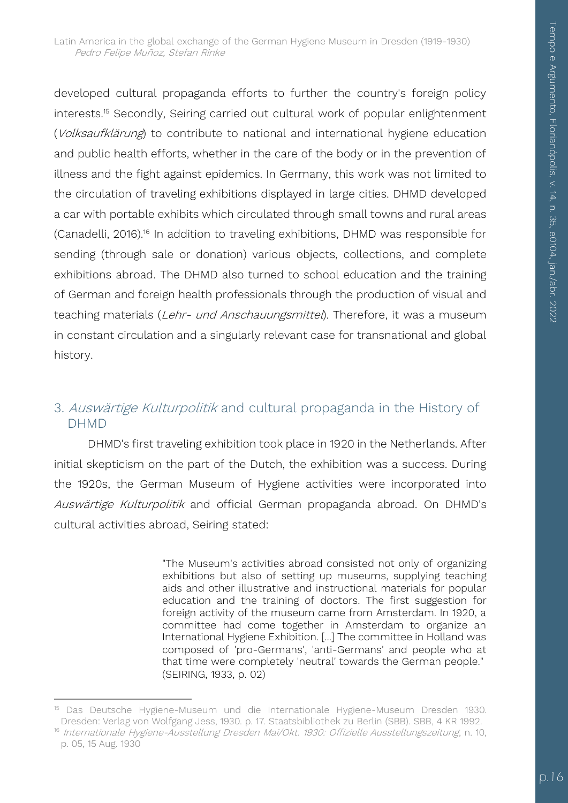developed cultural propaganda efforts to further the country's foreign policy interests.<sup>15</sup> Secondly, Seiring carried out cultural work of popular enlightenment (Volksaufklärung) to contribute to national and international hygiene education and public health efforts, whether in the care of the body or in the prevention of illness and the fight against epidemics. In Germany, this work was not limited to the circulation of traveling exhibitions displayed in large cities. DHMD developed a car with portable exhibits which circulated through small towns and rural areas (Canadelli, 2016).<sup>16</sup> In addition to traveling exhibitions, DHMD was responsible for sending (through sale or donation) various objects, collections, and complete exhibitions abroad. The DHMD also turned to school education and the training of German and foreign health professionals through the production of visual and teaching materials (Lehr- und Anschauungsmittel). Therefore, it was a museum in constant circulation and a singularly relevant case for transnational and global history.

#### 3. Auswärtige Kulturpolitik and cultural propaganda in the History of DHMD

DHMD's first traveling exhibition took place in 1920 in the Netherlands. After initial skepticism on the part of the Dutch, the exhibition was a success. During the 1920s, the German Museum of Hygiene activities were incorporated into Auswärtige Kulturpolitik and official German propaganda abroad. On DHMD's cultural activities abroad, Seiring stated:

> "The Museum's activities abroad consisted not only of organizing exhibitions but also of setting up museums, supplying teaching aids and other illustrative and instructional materials for popular education and the training of doctors. The first suggestion for foreign activity of the museum came from Amsterdam. In 1920, a committee had come together in Amsterdam to organize an International Hygiene Exhibition. [...] The committee in Holland was composed of 'pro-Germans', 'anti-Germans' and people who at that time were completely 'neutral' towards the German people." (SEIRING, 1933, p. 02)

1

<sup>&</sup>lt;sup>15</sup> Das Deutsche Hygiene-Museum und die Internationale Hygiene-Museum Dresden 1930. Dresden: Verlag von Wolfgang Jess, 1930. p. 17. Staatsbibliothek zu Berlin (SBB). SBB, 4 KR 1992.

<sup>&</sup>lt;sup>16</sup> Internationale Hygiene-Ausstellung Dresden Mai/Okt. 1930: Offizielle Ausstellungszeitung, n. 10, p. 05, 15 Aug. 1930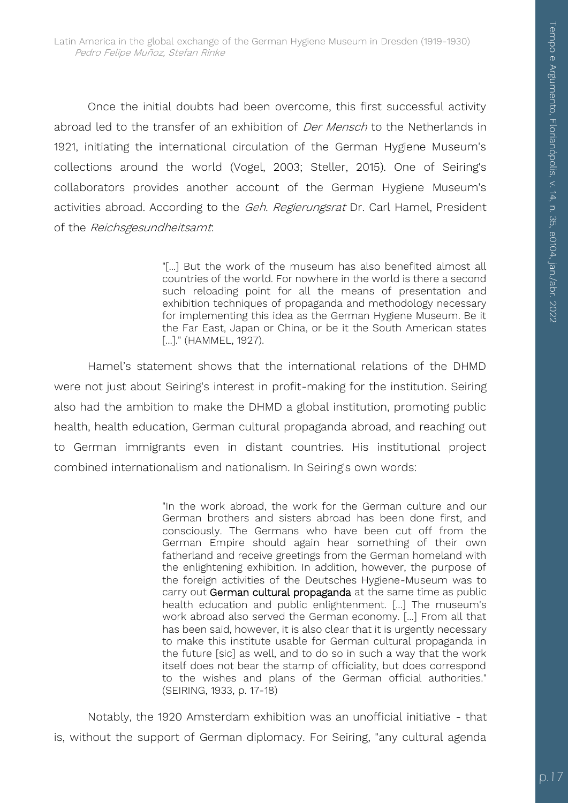Once the initial doubts had been overcome, this first successful activity abroad led to the transfer of an exhibition of Der Mensch to the Netherlands in 1921, initiating the international circulation of the German Hygiene Museum's collections around the world (Vogel, 2003; Steller, 2015). One of Seiring's collaborators provides another account of the German Hygiene Museum's activities abroad. According to the Geh. Regierungsrat Dr. Carl Hamel, President of the Reichsgesundheitsamt:

> "[...] But the work of the museum has also benefited almost all countries of the world. For nowhere in the world is there a second such reloading point for all the means of presentation and exhibition techniques of propaganda and methodology necessary for implementing this idea as the German Hygiene Museum. Be it the Far East, Japan or China, or be it the South American states [...]." (HAMMEL, 1927).

Hamel's statement shows that the international relations of the DHMD were not just about Seiring's interest in profit-making for the institution. Seiring also had the ambition to make the DHMD a global institution, promoting public health, health education, German cultural propaganda abroad, and reaching out to German immigrants even in distant countries. His institutional project combined internationalism and nationalism. In Seiring's own words:

> "In the work abroad, the work for the German culture and our German brothers and sisters abroad has been done first, and consciously. The Germans who have been cut off from the German Empire should again hear something of their own fatherland and receive greetings from the German homeland with the enlightening exhibition. In addition, however, the purpose of the foreign activities of the Deutsches Hygiene-Museum was to carry out German cultural propaganda at the same time as public health education and public enlightenment. [...] The museum's work abroad also served the German economy. [...] From all that has been said, however, it is also clear that it is urgently necessary to make this institute usable for German cultural propaganda in the future [sic] as well, and to do so in such a way that the work itself does not bear the stamp of officiality, but does correspond to the wishes and plans of the German official authorities." (SEIRING, 1933, p. 17-18)

Notably, the 1920 Amsterdam exhibition was an unofficial initiative - that is, without the support of German diplomacy. For Seiring, "any cultural agenda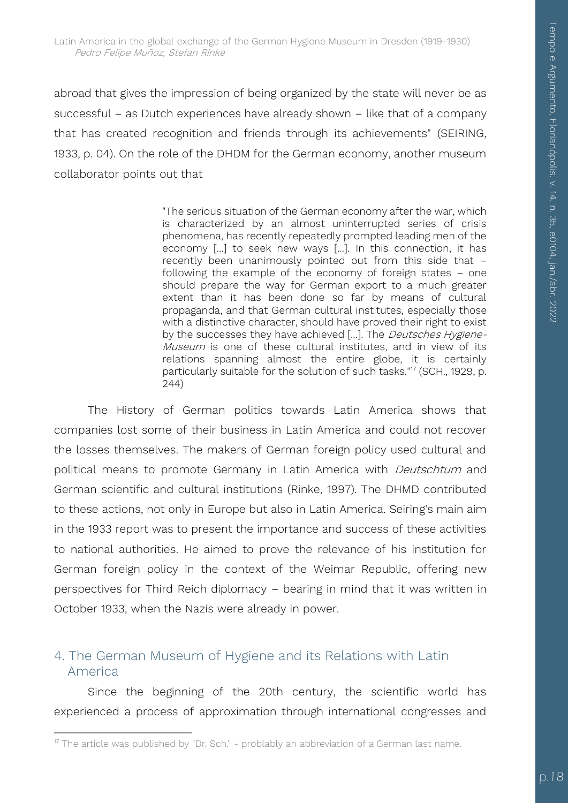abroad that gives the impression of being organized by the state will never be as successful – as Dutch experiences have already shown – like that of a company that has created recognition and friends through its achievements" (SEIRING, 1933, p. 04). On the role of the DHDM for the German economy, another museum collaborator points out that

> "The serious situation of the German economy after the war, which is characterized by an almost uninterrupted series of crisis phenomena, has recently repeatedly prompted leading men of the economy [...] to seek new ways [...]. In this connection, it has recently been unanimously pointed out from this side that – following the example of the economy of foreign states – one should prepare the way for German export to a much greater extent than it has been done so far by means of cultural propaganda, and that German cultural institutes, especially those with a distinctive character, should have proved their right to exist by the successes they have achieved [...]. The *Deutsches Hygiene-*Museum is one of these cultural institutes, and in view of its relations spanning almost the entire globe, it is certainly particularly suitable for the solution of such tasks."<sup>17</sup> (SCH., 1929, p. 244)

The History of German politics towards Latin America shows that companies lost some of their business in Latin America and could not recover the losses themselves. The makers of German foreign policy used cultural and political means to promote Germany in Latin America with *Deutschtum* and German scientific and cultural institutions (Rinke, 1997). The DHMD contributed to these actions, not only in Europe but also in Latin America. Seiring's main aim in the 1933 report was to present the importance and success of these activities to national authorities. He aimed to prove the relevance of his institution for German foreign policy in the context of the Weimar Republic, offering new perspectives for Third Reich diplomacy – bearing in mind that it was written in October 1933, when the Nazis were already in power.

#### 4. The German Museum of Hygiene and its Relations with Latin America

Since the beginning of the 20th century, the scientific world has experienced a process of approximation through international congresses and

1

<sup>&</sup>lt;sup>17</sup> The article was published by "Dr. Sch." - problably an abbreviation of a German last name.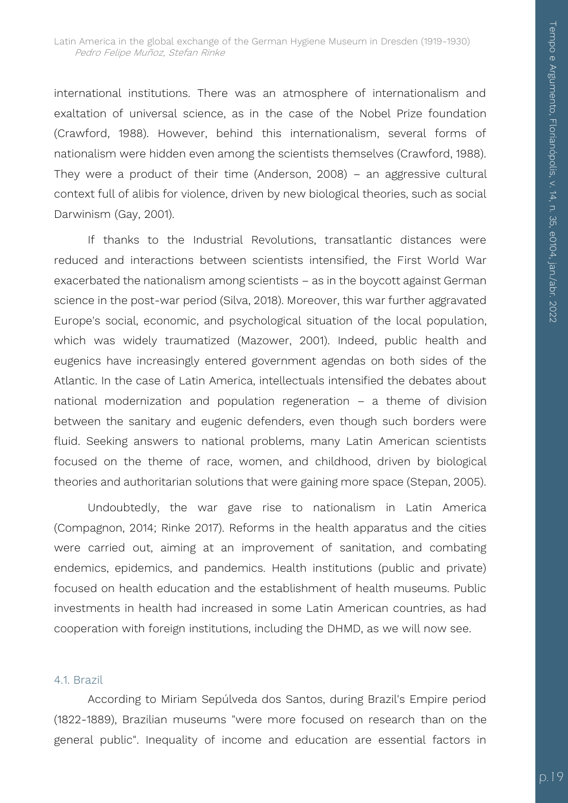international institutions. There was an atmosphere of internationalism and exaltation of universal science, as in the case of the Nobel Prize foundation (Crawford, 1988). However, behind this internationalism, several forms of nationalism were hidden even among the scientists themselves (Crawford, 1988). They were a product of their time (Anderson, 2008) – an aggressive cultural context full of alibis for violence, driven by new biological theories, such as social Darwinism (Gay, 2001).

If thanks to the Industrial Revolutions, transatlantic distances were reduced and interactions between scientists intensified, the First World War exacerbated the nationalism among scientists – as in the boycott against German science in the post-war period (Silva, 2018). Moreover, this war further aggravated Europe's social, economic, and psychological situation of the local population, which was widely traumatized (Mazower, 2001). Indeed, public health and eugenics have increasingly entered government agendas on both sides of the Atlantic. In the case of Latin America, intellectuals intensified the debates about national modernization and population regeneration – a theme of division between the sanitary and eugenic defenders, even though such borders were fluid. Seeking answers to national problems, many Latin American scientists focused on the theme of race, women, and childhood, driven by biological theories and authoritarian solutions that were gaining more space (Stepan, 2005).

Undoubtedly, the war gave rise to nationalism in Latin America (Compagnon, 2014; Rinke 2017). Reforms in the health apparatus and the cities were carried out, aiming at an improvement of sanitation, and combating endemics, epidemics, and pandemics. Health institutions (public and private) focused on health education and the establishment of health museums. Public investments in health had increased in some Latin American countries, as had cooperation with foreign institutions, including the DHMD, as we will now see.

#### 4.1. Brazil

According to Miriam Sepúlveda dos Santos, during Brazil's Empire period (1822-1889), Brazilian museums "were more focused on research than on the general public". Inequality of income and education are essential factors in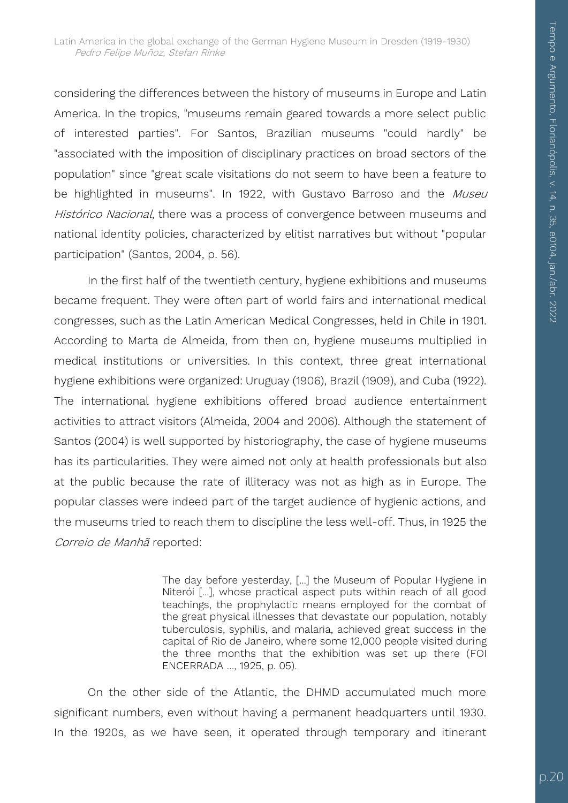considering the differences between the history of museums in Europe and Latin America. In the tropics, "museums remain geared towards a more select public of interested parties". For Santos, Brazilian museums "could hardly" be "associated with the imposition of disciplinary practices on broad sectors of the population" since "great scale visitations do not seem to have been a feature to be highlighted in museums". In 1922, with Gustavo Barroso and the Museu Histórico Nacional, there was a process of convergence between museums and national identity policies, characterized by elitist narratives but without "popular participation" (Santos, 2004, p. 56).

In the first half of the twentieth century, hygiene exhibitions and museums became frequent. They were often part of world fairs and international medical congresses, such as the Latin American Medical Congresses, held in Chile in 1901. According to Marta de Almeida, from then on, hygiene museums multiplied in medical institutions or universities. In this context, three great international hygiene exhibitions were organized: Uruguay (1906), Brazil (1909), and Cuba (1922). The international hygiene exhibitions offered broad audience entertainment activities to attract visitors (Almeida, 2004 and 2006). Although the statement of Santos (2004) is well supported by historiography, the case of hygiene museums has its particularities. They were aimed not only at health professionals but also at the public because the rate of illiteracy was not as high as in Europe. The popular classes were indeed part of the target audience of hygienic actions, and the museums tried to reach them to discipline the less well-off. Thus, in 1925 the Correio de Manhã reported:

> The day before yesterday, [...] the Museum of Popular Hygiene in Niterói [...], whose practical aspect puts within reach of all good teachings, the prophylactic means employed for the combat of the great physical illnesses that devastate our population, notably tuberculosis, syphilis, and malaria, achieved great success in the capital of Rio de Janeiro, where some 12,000 people visited during the three months that the exhibition was set up there (FOI ENCERRADA …, 1925, p. 05).

On the other side of the Atlantic, the DHMD accumulated much more significant numbers, even without having a permanent headquarters until 1930. In the 1920s, as we have seen, it operated through temporary and itinerant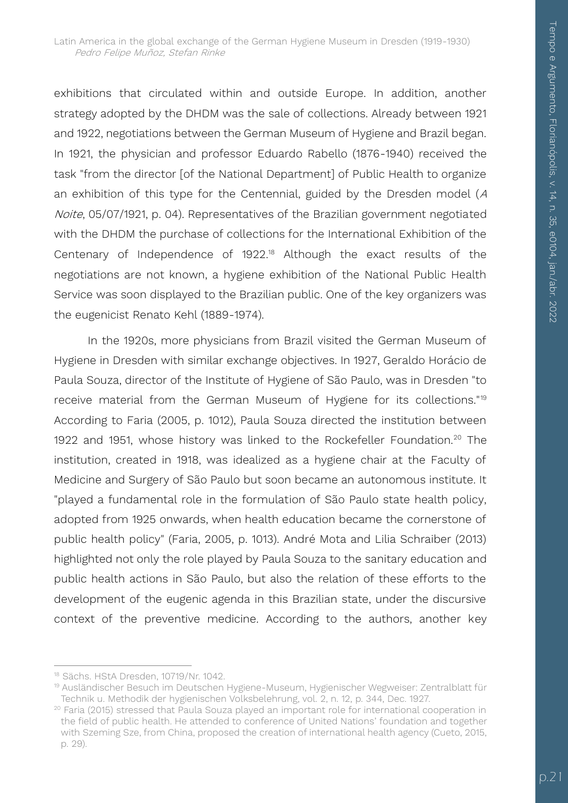exhibitions that circulated within and outside Europe. In addition, another strategy adopted by the DHDM was the sale of collections. Already between 1921 and 1922, negotiations between the German Museum of Hygiene and Brazil began. In 1921, the physician and professor Eduardo Rabello (1876-1940) received the task "from the director [of the National Department] of Public Health to organize an exhibition of this type for the Centennial, guided by the Dresden model (<sup>A</sup> Noite, 05/07/1921, p. 04). Representatives of the Brazilian government negotiated with the DHDM the purchase of collections for the International Exhibition of the Centenary of Independence of 1922.<sup>18</sup> Although the exact results of the negotiations are not known, a hygiene exhibition of the National Public Health Service was soon displayed to the Brazilian public. One of the key organizers was the eugenicist Renato Kehl (1889-1974).

In the 1920s, more physicians from Brazil visited the German Museum of Hygiene in Dresden with similar exchange objectives. In 1927, Geraldo Horácio de Paula Souza, director of the Institute of Hygiene of São Paulo, was in Dresden "to receive material from the German Museum of Hygiene for its collections."<sup>19</sup> According to Faria (2005, p. 1012), Paula Souza directed the institution between 1922 and 1951, whose history was linked to the Rockefeller Foundation.<sup>20</sup> The institution, created in 1918, was idealized as a hygiene chair at the Faculty of Medicine and Surgery of São Paulo but soon became an autonomous institute. It "played a fundamental role in the formulation of São Paulo state health policy, adopted from 1925 onwards, when health education became the cornerstone of public health policy" (Faria, 2005, p. 1013). André Mota and Lilia Schraiber (2013) highlighted not only the role played by Paula Souza to the sanitary education and public health actions in São Paulo, but also the relation of these efforts to the development of the eugenic agenda in this Brazilian state, under the discursive context of the preventive medicine. According to the authors, another key

<sup>1</sup> <sup>18</sup> Sächs. HStA Dresden, 10719/Nr. 1042.

<sup>19</sup> Ausländischer Besuch im Deutschen Hygiene-Museum, Hygienischer Wegweiser: Zentralblatt für Technik u. Methodik der hygienischen Volksbelehrung, vol. 2, n. 12, p. 344, Dec. 1927.

<sup>&</sup>lt;sup>20</sup> Faria (2015) stressed that Paula Souza played an important role for international cooperation in the field of public health. He attended to conference of United Nations' foundation and together with Szeming Sze, from China, proposed the creation of international health agency (Cueto, 2015, p. 29).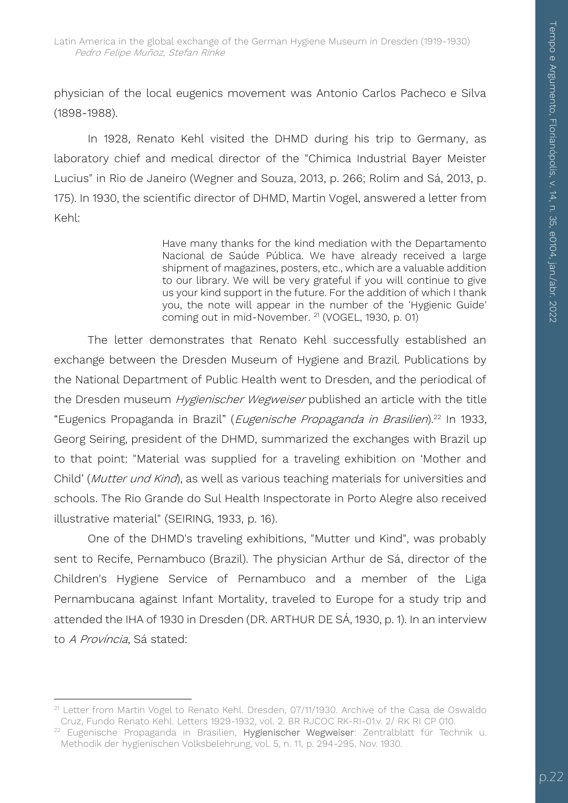physician of the local eugenics movement was Antonio Carlos Pacheco e Silva (1898-1988).

In 1928, Renato Kehl visited the DHMD during his trip to Germany, as laboratory chief and medical director of the "Chimica Industrial Bayer Meister Lucius" in Rio de Janeiro (Wegner and Souza, 2013, p. 266; Rolim and Sá, 2013, p. 175). In 1930, the scientific director of DHMD, Martin Vogel, answered a letter from Kehl:

> Have many thanks for the kind mediation with the Departamento Nacional de Saúde Pública. We have already received a large shipment of magazines, posters, etc., which are a valuable addition to our library. We will be very grateful if you will continue to give us your kind support in the future. For the addition of which I thank you, the note will appear in the number of the 'Hygienic Guide' coming out in mid-November. <sup>21</sup> (VOGEL, 1930, p. 01)

The letter demonstrates that Renato Kehl successfully established an exchange between the Dresden Museum of Hygiene and Brazil. Publications by the National Department of Public Health went to Dresden, and the periodical of the Dresden museum *Hygienischer Wegweiser* published an article with the title "Eugenics Propaganda in Brazil" (Eugenische Propaganda in Brasilien).<sup>22</sup> In 1933, Georg Seiring, president of the DHMD, summarized the exchanges with Brazil up to that point: "Material was supplied for a traveling exhibition on 'Mother and Child' (Mutter und Kind), as well as various teaching materials for universities and schools. The Rio Grande do Sul Health Inspectorate in Porto Alegre also received illustrative material" (SEIRING, 1933, p. 16).

One of the DHMD's traveling exhibitions, "Mutter und Kind", was probably sent to Recife, Pernambuco (Brazil). The physician Arthur de Sá, director of the Children's Hygiene Service of Pernambuco and a member of the Liga Pernambucana against Infant Mortality, traveled to Europe for a study trip and attended the IHA of 1930 in Dresden (DR. ARTHUR DE SÁ, 1930, p. 1). In an interview to A Província, Sá stated:

<sup>1</sup> <sup>21</sup> Letter from Martin Vogel to Renato Kehl. Dresden, 07/11/1930. Archive of the Casa de Oswaldo Cruz, Fundo Renato Kehl. Letters 1929-1932, vol. 2. BR RJCOC RK-RI-01.v. 2/ RK RI CP 010.

<sup>&</sup>lt;sup>22</sup> Eugenische Propaganda in Brasilien, Hygienischer Wegweiser: Zentralblatt für Technik u. Methodik der hygienischen Volksbelehrung, vol. 5, n. 11, p. 294-295, Nov. 1930.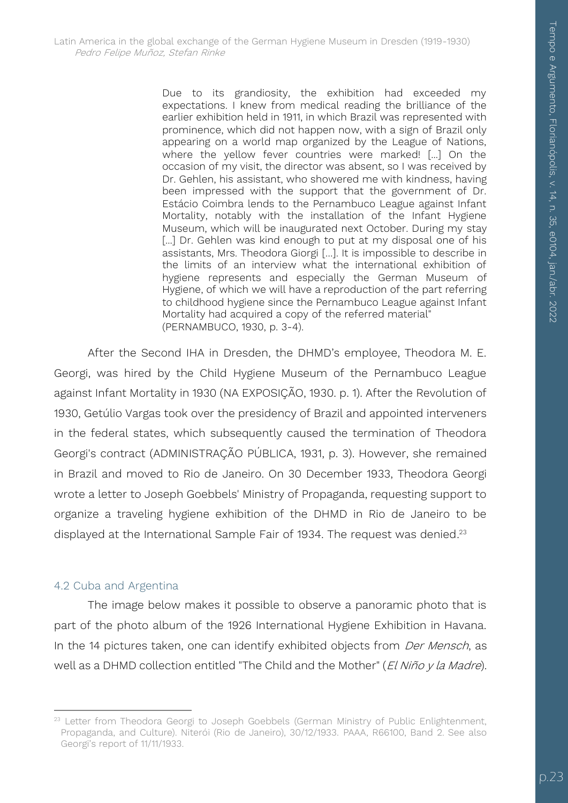Due to its grandiosity, the exhibition had exceeded my expectations. I knew from medical reading the brilliance of the earlier exhibition held in 1911, in which Brazil was represented with prominence, which did not happen now, with a sign of Brazil only appearing on a world map organized by the League of Nations, where the yellow fever countries were marked! [...] On the occasion of my visit, the director was absent, so I was received by Dr. Gehlen, his assistant, who showered me with kindness, having been impressed with the support that the government of Dr. Estácio Coimbra lends to the Pernambuco League against Infant Mortality, notably with the installation of the Infant Hygiene Museum, which will be inaugurated next October. During my stay [...] Dr. Gehlen was kind enough to put at my disposal one of his assistants, Mrs. Theodora Giorgi […]. It is impossible to describe in the limits of an interview what the international exhibition of hygiene represents and especially the German Museum of Hygiene, of which we will have a reproduction of the part referring to childhood hygiene since the Pernambuco League against Infant Mortality had acquired a copy of the referred material" (PERNAMBUCO, 1930, p. 3-4).

After the Second IHA in Dresden, the DHMD's employee, Theodora M. E. Georgi, was hired by the Child Hygiene Museum of the Pernambuco League against Infant Mortality in 1930 (NA EXPOSIÇÃO, 1930. p. 1). After the Revolution of 1930, Getúlio Vargas took over the presidency of Brazil and appointed interveners in the federal states, which subsequently caused the termination of Theodora Georgi's contract (ADMINISTRAÇÃO PÚBLICA, 1931, p. 3). However, she remained in Brazil and moved to Rio de Janeiro. On 30 December 1933, Theodora Georgi wrote a letter to Joseph Goebbels' Ministry of Propaganda, requesting support to organize a traveling hygiene exhibition of the DHMD in Rio de Janeiro to be displayed at the International Sample Fair of 1934. The request was denied.<sup>23</sup>

#### 4.2 Cuba and Argentina

 $\overline{a}$ 

The image below makes it possible to observe a panoramic photo that is part of the photo album of the 1926 International Hygiene Exhibition in Havana. In the 14 pictures taken, one can identify exhibited objects from Der Mensch, as well as a DHMD collection entitled "The Child and the Mother" (El Niño y la Madre).

<sup>&</sup>lt;sup>23</sup> Letter from Theodora Georgi to Joseph Goebbels (German Ministry of Public Enlightenment, Propaganda, and Culture). Niterói (Rio de Janeiro), 30/12/1933. PAAA, R66100, Band 2. See also Georgi's report of 11/11/1933.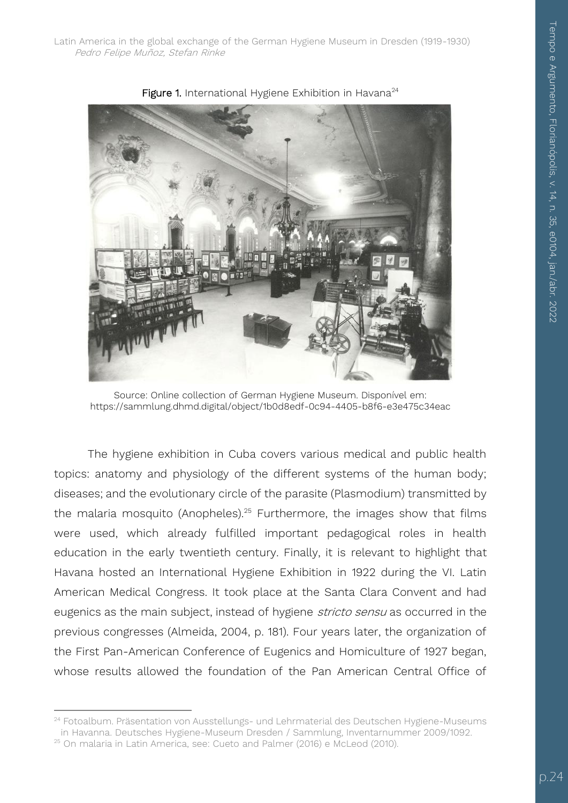Latin America in the global exchange of the German Hygiene Museum in Dresden (1919-1930) Pedro Felipe Muñoz, Stefan Rinke



Figure 1. International Hygiene Exhibition in Havana<sup>24</sup>

Source: Online collection of German Hygiene Museum. Disponível em: https://sammlung.dhmd.digital/object/1b0d8edf-0c94-4405-b8f6-e3e475c34eac

The hygiene exhibition in Cuba covers various medical and public health topics: anatomy and physiology of the different systems of the human body; diseases; and the evolutionary circle of the parasite (Plasmodium) transmitted by the malaria mosquito (Anopheles).<sup>25</sup> Furthermore, the images show that films were used, which already fulfilled important pedagogical roles in health education in the early twentieth century. Finally, it is relevant to highlight that Havana hosted an International Hygiene Exhibition in 1922 during the VI. Latin American Medical Congress. It took place at the Santa Clara Convent and had eugenics as the main subject, instead of hygiene *stricto sensu* as occurred in the previous congresses (Almeida, 2004, p. 181). Four years later, the organization of the First Pan-American Conference of Eugenics and Homiculture of 1927 began, whose results allowed the foundation of the Pan American Central Office of

 $\overline{a}$ 

<sup>&</sup>lt;sup>24</sup> Fotoalbum. Präsentation von Ausstellungs- und Lehrmaterial des Deutschen Hygiene-Museums in Havanna. Deutsches Hygiene-Museum Dresden / Sammlung, Inventarnummer 2009/1092.

<sup>25</sup> On malaria in Latin America, see: Cueto and Palmer (2016) e McLeod (2010).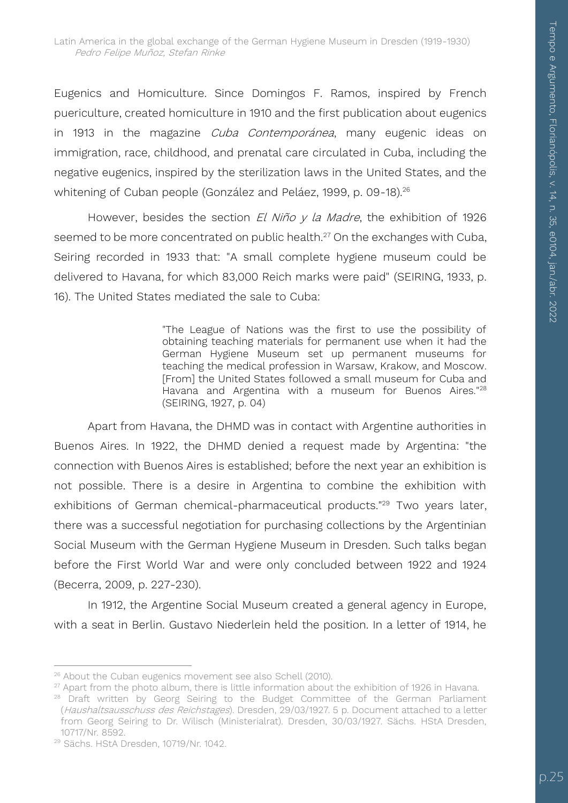Eugenics and Homiculture. Since Domingos F. Ramos, inspired by French puericulture, created homiculture in 1910 and the first publication about eugenics in 1913 in the magazine *Cuba Contemporánea*, many eugenic ideas on immigration, race, childhood, and prenatal care circulated in Cuba, including the negative eugenics, inspired by the sterilization laws in the United States, and the whitening of Cuban people (González and Peláez, 1999, p. 09-18).<sup>26</sup>

However, besides the section  $El Niño y la Madre$ , the exhibition of 1926 seemed to be more concentrated on public health.<sup>27</sup> On the exchanges with Cuba, Seiring recorded in 1933 that: "A small complete hygiene museum could be delivered to Havana, for which 83,000 Reich marks were paid" (SEIRING, 1933, p. 16). The United States mediated the sale to Cuba:

> "The League of Nations was the first to use the possibility of obtaining teaching materials for permanent use when it had the German Hygiene Museum set up permanent museums for teaching the medical profession in Warsaw, Krakow, and Moscow. [From] the United States followed a small museum for Cuba and Havana and Argentina with a museum for Buenos Aires."<sup>28</sup> (SEIRING, 1927, p. 04)

Apart from Havana, the DHMD was in contact with Argentine authorities in Buenos Aires. In 1922, the DHMD denied a request made by Argentina: "the connection with Buenos Aires is established; before the next year an exhibition is not possible. There is a desire in Argentina to combine the exhibition with exhibitions of German chemical-pharmaceutical products."<sup>29</sup> Two years later, there was a successful negotiation for purchasing collections by the Argentinian Social Museum with the German Hygiene Museum in Dresden. Such talks began before the First World War and were only concluded between 1922 and 1924 (Becerra, 2009, p. 227-230).

In 1912, the Argentine Social Museum created a general agency in Europe, with a seat in Berlin. Gustavo Niederlein held the position. In a letter of 1914, he

 $27$  Apart from the photo album, there is little information about the exhibition of 1926 in Havana.

<sup>1</sup> <sup>26</sup> About the Cuban eugenics movement see also Schell (2010).

<sup>&</sup>lt;sup>28</sup> Draft written by Georg Seiring to the Budget Committee of the German Parliament (Haushaltsausschuss des Reichstages). Dresden, 29/03/1927. 5 p. Document attached to a letter from Georg Seiring to Dr. Wilisch (Ministerialrat). Dresden, 30/03/1927. Sächs. HStA Dresden, 10717/Nr. 8592.

<sup>29</sup> Sächs. HStA Dresden, 10719/Nr. 1042.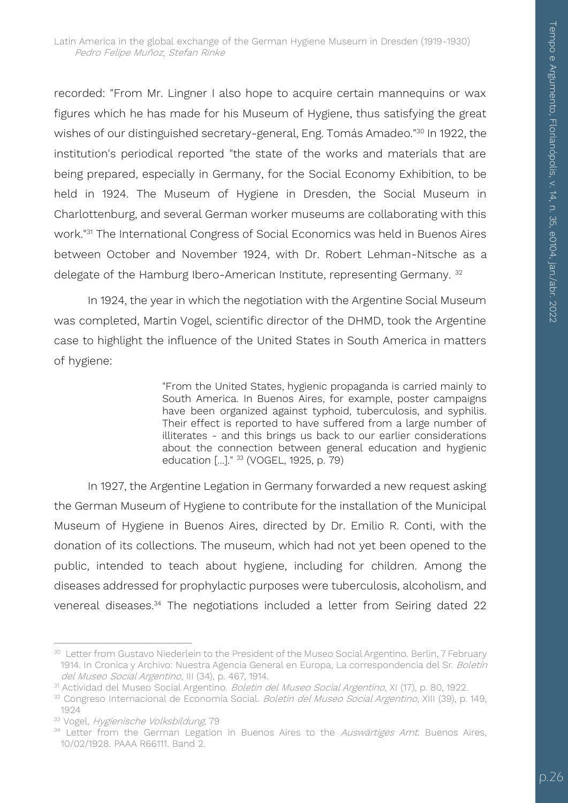recorded: "From Mr. Lingner I also hope to acquire certain mannequins or wax figures which he has made for his Museum of Hygiene, thus satisfying the great wishes of our distinguished secretary-general, Eng. Tomás Amadeo."<sup>30</sup> In 1922, the institution's periodical reported "the state of the works and materials that are being prepared, especially in Germany, for the Social Economy Exhibition, to be held in 1924. The Museum of Hygiene in Dresden, the Social Museum in Charlottenburg, and several German worker museums are collaborating with this work."<sup>31</sup> The International Congress of Social Economics was held in Buenos Aires between October and November 1924, with Dr. Robert Lehman-Nitsche as a delegate of the Hamburg Ibero-American Institute, representing Germany.<sup>32</sup>

In 1924, the year in which the negotiation with the Argentine Social Museum was completed, Martin Vogel, scientific director of the DHMD, took the Argentine case to highlight the influence of the United States in South America in matters of hygiene:

> "From the United States, hygienic propaganda is carried mainly to South America. In Buenos Aires, for example, poster campaigns have been organized against typhoid, tuberculosis, and syphilis. Their effect is reported to have suffered from a large number of illiterates - and this brings us back to our earlier considerations about the connection between general education and hygienic education [...]." <sup>33</sup> (VOGEL, 1925, p. 79)

In 1927, the Argentine Legation in Germany forwarded a new request asking the German Museum of Hygiene to contribute for the installation of the Municipal Museum of Hygiene in Buenos Aires, directed by Dr. Emilio R. Conti, with the donation of its collections. The museum, which had not yet been opened to the public, intended to teach about hygiene, including for children. Among the diseases addressed for prophylactic purposes were tuberculosis, alcoholism, and venereal diseases.<sup>34</sup> The negotiations included a letter from Seiring dated 22

 $\overline{a}$ <sup>30</sup> Letter from Gustavo Niederlein to the President of the Museo Social Argentino. Berlin, 7 February 1914. In Cronica y Archivo: Nuestra Agencia General en Europa, La correspondencia del Sr. Boletín del Museo Social Argentino, III (34), p. 467, 1914.

<sup>&</sup>lt;sup>31</sup> Actividad del Museo Social Argentino. *Boletin del Museo Social Argentino*, XI (17), p. 80, 1922.

<sup>32</sup> Congreso Internacional de Economía Social. Boletin del Museo Social Argentino, XIII (39), p. 149, 1924

<sup>33</sup> Vogel, Hygienische Volksbildung, 79

<sup>&</sup>lt;sup>34</sup> Letter from the German Legation in Buenos Aires to the *Auswärtiges Amt*. Buenos Aires, 10/02/1928. PAAA R66111. Band 2.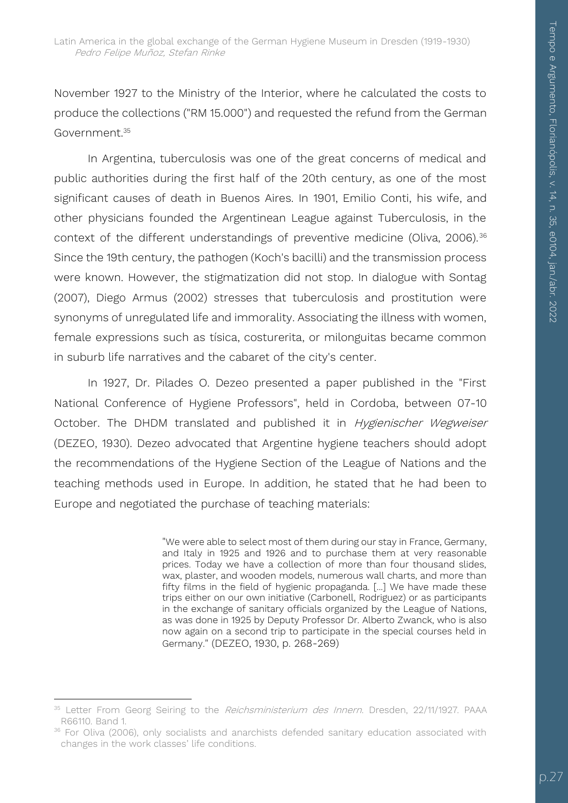November 1927 to the Ministry of the Interior, where he calculated the costs to produce the collections ("RM 15.000") and requested the refund from the German Government<sup>35</sup>

In Argentina, tuberculosis was one of the great concerns of medical and public authorities during the first half of the 20th century, as one of the most significant causes of death in Buenos Aires. In 1901, Emilio Conti, his wife, and other physicians founded the Argentinean League against Tuberculosis, in the context of the different understandings of preventive medicine (Oliva, 2006).<sup>36</sup> Since the 19th century, the pathogen (Koch's bacilli) and the transmission process were known. However, the stigmatization did not stop. In dialogue with Sontag (2007), Diego Armus (2002) stresses that tuberculosis and prostitution were synonyms of unregulated life and immorality. Associating the illness with women, female expressions such as tísica, costurerita, or milonguitas became common in suburb life narratives and the cabaret of the city's center.

In 1927, Dr. Pilades O. Dezeo presented a paper published in the "First National Conference of Hygiene Professors", held in Cordoba, between 07-10 October. The DHDM translated and published it in *Hygienischer Wegweiser* (DEZEO, 1930). Dezeo advocated that Argentine hygiene teachers should adopt the recommendations of the Hygiene Section of the League of Nations and the teaching methods used in Europe. In addition, he stated that he had been to Europe and negotiated the purchase of teaching materials:

> "We were able to select most of them during our stay in France, Germany, and Italy in 1925 and 1926 and to purchase them at very reasonable prices. Today we have a collection of more than four thousand slides, wax, plaster, and wooden models, numerous wall charts, and more than fifty films in the field of hygienic propaganda. [...] We have made these trips either on our own initiative (Carbonell, Rodriguez) or as participants in the exchange of sanitary officials organized by the League of Nations, as was done in 1925 by Deputy Professor Dr. Alberto Zwanck, who is also now again on a second trip to participate in the special courses held in Germany." (DEZEO, 1930, p. 268-269)

<sup>1</sup> <sup>35</sup> Letter From Georg Seiring to the Reichsministerium des Innern. Dresden, 22/11/1927. PAAA R66110. Band 1.

<sup>&</sup>lt;sup>36</sup> For Oliva (2006), only socialists and anarchists defended sanitary education associated with changes in the work classes' life conditions.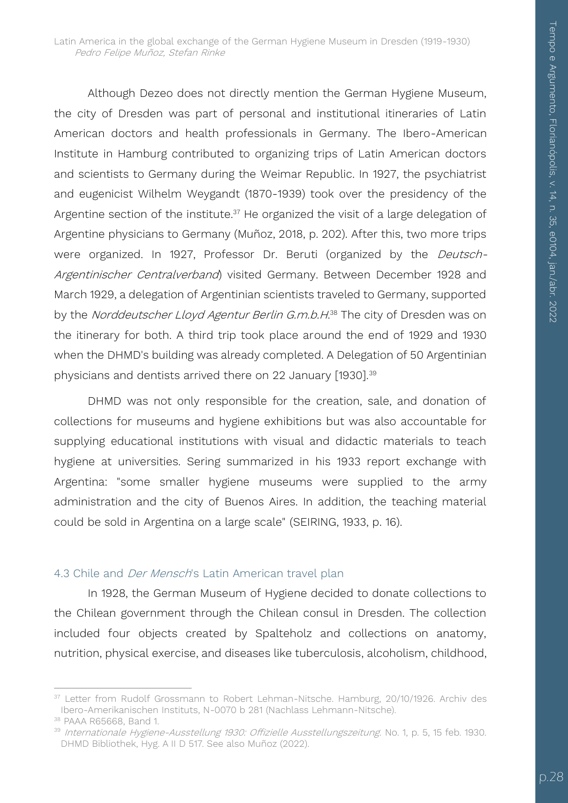Latin America in the global exchange of the German Hygiene Museum in Dresden (1919-1930) Pedro Felipe Muñoz, Stefan Rinke

Although Dezeo does not directly mention the German Hygiene Museum, the city of Dresden was part of personal and institutional itineraries of Latin American doctors and health professionals in Germany. The Ibero-American Institute in Hamburg contributed to organizing trips of Latin American doctors and scientists to Germany during the Weimar Republic. In 1927, the psychiatrist and eugenicist Wilhelm Weygandt (1870-1939) took over the presidency of the Argentine section of the institute. $37$  He organized the visit of a large delegation of Argentine physicians to Germany (Muñoz, 2018, p. 202). After this, two more trips were organized. In 1927, Professor Dr. Beruti (organized by the Deutsch-Argentinischer Centralverband) visited Germany. Between December 1928 and March 1929, a delegation of Argentinian scientists traveled to Germany, supported by the *Norddeutscher Lloyd Agentur Berlin G.m.b.H.*38 The city of Dresden was on the itinerary for both. A third trip took place around the end of 1929 and 1930 when the DHMD's building was already completed. A Delegation of 50 Argentinian physicians and dentists arrived there on 22 January [1930].<sup>39</sup>

DHMD was not only responsible for the creation, sale, and donation of collections for museums and hygiene exhibitions but was also accountable for supplying educational institutions with visual and didactic materials to teach hygiene at universities. Sering summarized in his 1933 report exchange with Argentina: "some smaller hygiene museums were supplied to the army administration and the city of Buenos Aires. In addition, the teaching material could be sold in Argentina on a large scale" (SEIRING, 1933, p. 16).

#### 4.3 Chile and *Der Mensch's* Latin American travel plan

In 1928, the German Museum of Hygiene decided to donate collections to the Chilean government through the Chilean consul in Dresden. The collection included four objects created by Spalteholz and collections on anatomy, nutrition, physical exercise, and diseases like tuberculosis, alcoholism, childhood,

1

<sup>&</sup>lt;sup>37</sup> Letter from Rudolf Grossmann to Robert Lehman-Nitsche. Hamburg, 20/10/1926. Archiv des Ibero-Amerikanischen Instituts, N-0070 b 281 (Nachlass Lehmann-Nitsche).

<sup>38</sup> PAAA R65668, Band 1.

<sup>39</sup> Internationale Hygiene-Ausstellung 1930: Offizielle Ausstellungszeitung. No. 1, p. 5, 15 feb. 1930. DHMD Bibliothek, Hyg. A II D 517. See also Muñoz (2022).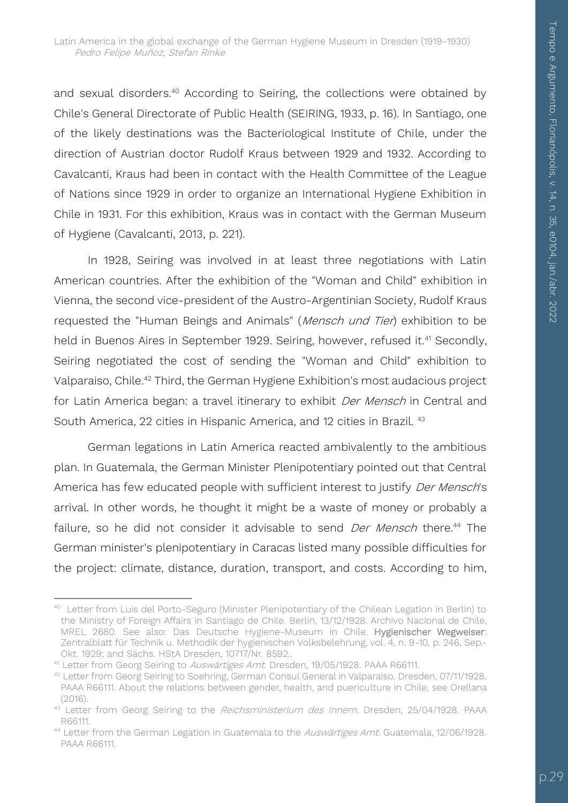and sexual disorders.<sup>40</sup> According to Seiring, the collections were obtained by Chile's General Directorate of Public Health (SEIRING, 1933, p. 16). In Santiago, one of the likely destinations was the Bacteriological Institute of Chile, under the direction of Austrian doctor Rudolf Kraus between 1929 and 1932. According to Cavalcanti, Kraus had been in contact with the Health Committee of the League of Nations since 1929 in order to organize an International Hygiene Exhibition in Chile in 1931. For this exhibition, Kraus was in contact with the German Museum of Hygiene (Cavalcanti, 2013, p. 221).

In 1928, Seiring was involved in at least three negotiations with Latin American countries. After the exhibition of the "Woman and Child" exhibition in Vienna, the second vice-president of the Austro-Argentinian Society, Rudolf Kraus requested the "Human Beings and Animals" (Mensch und Tier) exhibition to be held in Buenos Aires in September 1929. Seiring, however, refused it.<sup>41</sup> Secondly, Seiring negotiated the cost of sending the "Woman and Child" exhibition to Valparaiso, Chile.<sup>42</sup> Third, the German Hygiene Exhibition's most audacious project for Latin America began: a travel itinerary to exhibit *Der Mensch* in Central and South America, 22 cities in Hispanic America, and 12 cities in Brazil. <sup>43</sup>

German legations in Latin America reacted ambivalently to the ambitious plan. In Guatemala, the German Minister Plenipotentiary pointed out that Central America has few educated people with sufficient interest to justify Der Mensch's arrival. In other words, he thought it might be a waste of money or probably a failure, so he did not consider it advisable to send *Der Mensch* there.<sup>44</sup> The German minister's plenipotentiary in Caracas listed many possible difficulties for the project: climate, distance, duration, transport, and costs. According to him,

j <sup>40</sup> Letter from Luis del Porto-Seguro (Minister Plenipotentiary of the Chilean Legation in Berlin) to the Ministry of Foreign Affairs in Santiago de Chile. Berlin, 13/12/1928. Archivo Nacional de Chile, MREL 2680. See also: Das Deutsche Hygiene-Museum in Chile. Hygienischer Wegweiser: Zentralblatt für Technik u. Methodik der hygienischen Volksbelehrung, vol. 4, n. 9-10, p. 246, Sep.- Okt. 1929; and Sächs. HStA Dresden, 10717/Nr. 8592..

<sup>&</sup>lt;sup>41</sup> Letter from Georg Seiring to Auswärtiges Amt. Dresden, 19/05/1928. PAAA R66111.

<sup>42</sup> Letter from Georg Seiring to Soehring, German Consul General in Valparaiso. Dresden, 07/11/1928. PAAA R66111. About the relations between gender, health, and puericulture in Chile, see Orellana (2016).

<sup>43</sup> Letter from Georg Seiring to the Reichsministerium des Innern. Dresden, 25/04/1928. PAAA R66111.

<sup>&</sup>lt;sup>44</sup> Letter from the German Legation in Guatemala to the *Auswärtiges Amt*. Guatemala, 12/06/1928. PAAA R66111.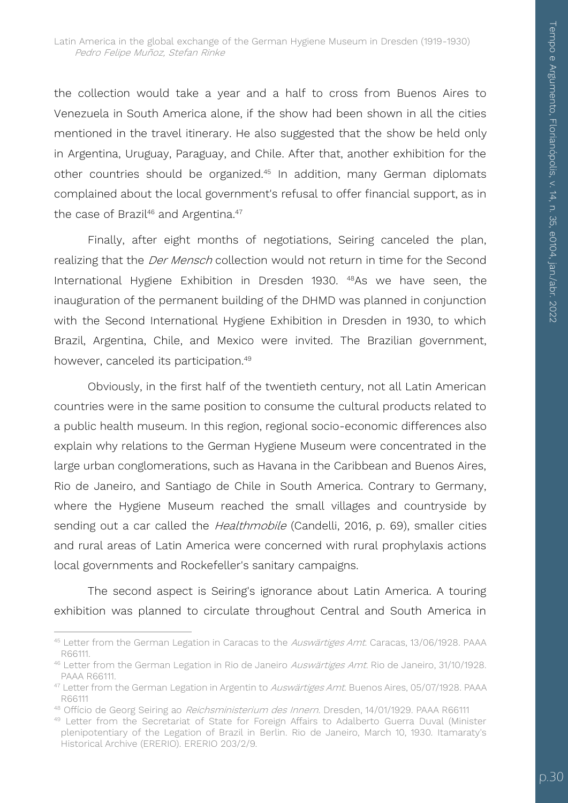the collection would take a year and a half to cross from Buenos Aires to Venezuela in South America alone, if the show had been shown in all the cities mentioned in the travel itinerary. He also suggested that the show be held only in Argentina, Uruguay, Paraguay, and Chile. After that, another exhibition for the other countries should be organized.<sup>45</sup> In addition, many German diplomats complained about the local government's refusal to offer financial support, as in the case of Brazil<sup>46</sup> and Argentina.<sup>47</sup>

Finally, after eight months of negotiations, Seiring canceled the plan, realizing that the *Der Mensch* collection would not return in time for the Second International Hygiene Exhibition in Dresden 1930. <sup>48</sup>As we have seen, the inauguration of the permanent building of the DHMD was planned in conjunction with the Second International Hygiene Exhibition in Dresden in 1930, to which Brazil, Argentina, Chile, and Mexico were invited. The Brazilian government, however, canceled its participation.<sup>49</sup>

Obviously, in the first half of the twentieth century, not all Latin American countries were in the same position to consume the cultural products related to a public health museum. In this region, regional socio-economic differences also explain why relations to the German Hygiene Museum were concentrated in the large urban conglomerations, such as Havana in the Caribbean and Buenos Aires, Rio de Janeiro, and Santiago de Chile in South America. Contrary to Germany, where the Hygiene Museum reached the small villages and countryside by sending out a car called the *Healthmobile* (Candelli, 2016, p. 69), smaller cities and rural areas of Latin America were concerned with rural prophylaxis actions local governments and Rockefeller's sanitary campaigns.

The second aspect is Seiring's ignorance about Latin America. A touring exhibition was planned to circulate throughout Central and South America in

1

<sup>45</sup> Letter from the German Legation in Caracas to the Auswärtiges Amt. Caracas, 13/06/1928. PAAA R66111.

<sup>&</sup>lt;sup>46</sup> Letter from the German Legation in Rio de Janeiro Auswärtiges Amt. Rio de Janeiro, 31/10/1928. PAAA R66111.

<sup>&</sup>lt;sup>47</sup> Letter from the German Legation in Argentin to Auswärtiges Amt. Buenos Aires, 05/07/1928. PAAA R66111

<sup>48</sup> Offício de Georg Seiring ao Reichsministerium des Innern. Dresden, 14/01/1929. PAAA R66111

<sup>49</sup> Letter from the Secretariat of State for Foreign Affairs to Adalberto Guerra Duval (Minister plenipotentiary of the Legation of Brazil in Berlin. Rio de Janeiro, March 10, 1930. Itamaraty's Historical Archive (ERERIO). ERERIO 203/2/9.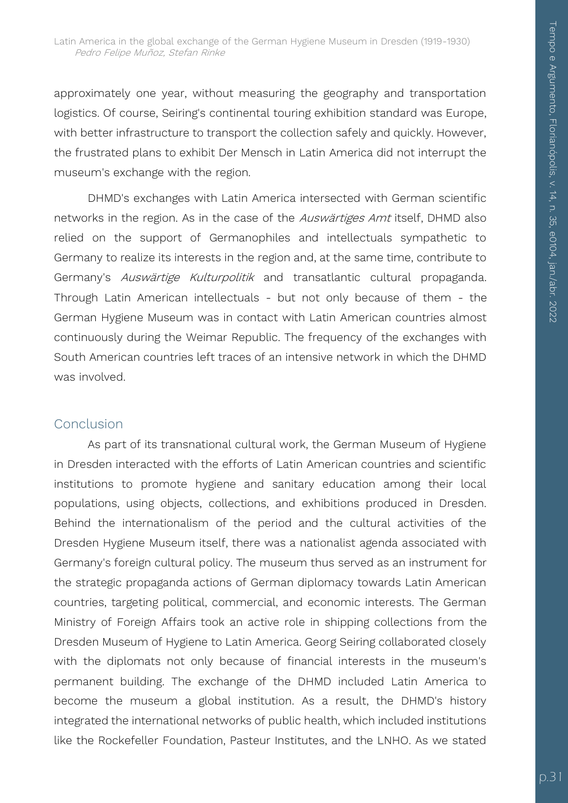approximately one year, without measuring the geography and transportation logistics. Of course, Seiring's continental touring exhibition standard was Europe, with better infrastructure to transport the collection safely and quickly. However, the frustrated plans to exhibit Der Mensch in Latin America did not interrupt the museum's exchange with the region.

DHMD's exchanges with Latin America intersected with German scientific networks in the region. As in the case of the Auswärtiges Amt itself, DHMD also relied on the support of Germanophiles and intellectuals sympathetic to Germany to realize its interests in the region and, at the same time, contribute to Germany's Auswärtige Kulturpolitik and transatlantic cultural propaganda. Through Latin American intellectuals - but not only because of them - the German Hygiene Museum was in contact with Latin American countries almost continuously during the Weimar Republic. The frequency of the exchanges with South American countries left traces of an intensive network in which the DHMD was involved.

#### Conclusion

As part of its transnational cultural work, the German Museum of Hygiene in Dresden interacted with the efforts of Latin American countries and scientific institutions to promote hygiene and sanitary education among their local populations, using objects, collections, and exhibitions produced in Dresden. Behind the internationalism of the period and the cultural activities of the Dresden Hygiene Museum itself, there was a nationalist agenda associated with Germany's foreign cultural policy. The museum thus served as an instrument for the strategic propaganda actions of German diplomacy towards Latin American countries, targeting political, commercial, and economic interests. The German Ministry of Foreign Affairs took an active role in shipping collections from the Dresden Museum of Hygiene to Latin America. Georg Seiring collaborated closely with the diplomats not only because of financial interests in the museum's permanent building. The exchange of the DHMD included Latin America to become the museum a global institution. As a result, the DHMD's history integrated the international networks of public health, which included institutions like the Rockefeller Foundation, Pasteur Institutes, and the LNHO. As we stated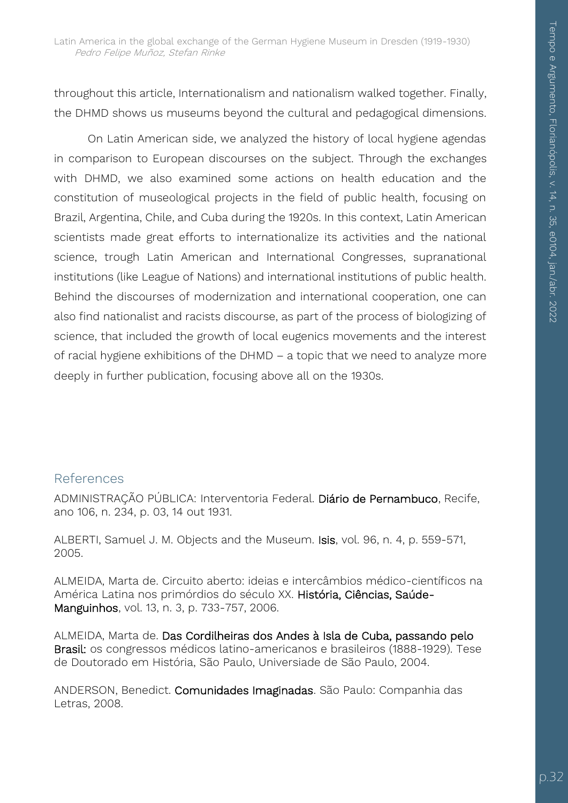throughout this article, Internationalism and nationalism walked together. Finally, the DHMD shows us museums beyond the cultural and pedagogical dimensions.

On Latin American side, we analyzed the history of local hygiene agendas in comparison to European discourses on the subject. Through the exchanges with DHMD, we also examined some actions on health education and the constitution of museological projects in the field of public health, focusing on Brazil, Argentina, Chile, and Cuba during the 1920s. In this context, Latin American scientists made great efforts to internationalize its activities and the national science, trough Latin American and International Congresses, supranational institutions (like League of Nations) and international institutions of public health. Behind the discourses of modernization and international cooperation, one can also find nationalist and racists discourse, as part of the process of biologizing of science, that included the growth of local eugenics movements and the interest of racial hygiene exhibitions of the DHMD – a topic that we need to analyze more deeply in further publication, focusing above all on the 1930s.

#### References

ADMINISTRAÇÃO PÚBLICA: Interventoria Federal. Diário de Pernambuco, Recife, ano 106, n. 234, p. 03, 14 out 1931.

ALBERTI, Samuel J. M. Objects and the Museum. Isis, vol. 96, n. 4, p. 559-571, 2005.

ALMEIDA, Marta de. Circuito aberto: ideias e intercâmbios médico-científicos na América Latina nos primórdios do século XX. História, Ciências, Saúde-Manguinhos, vol. 13, n. 3, p. 733-757, 2006.

ALMEIDA, Marta de. Das Cordilheiras dos Andes à Isla de Cuba, passando pelo Brasil: os congressos médicos latino-americanos e brasileiros (1888-1929). Tese de Doutorado em História, São Paulo, Universiade de São Paulo, 2004.

ANDERSON, Benedict. Comunidades Imaginadas. São Paulo: Companhia das Letras, 2008.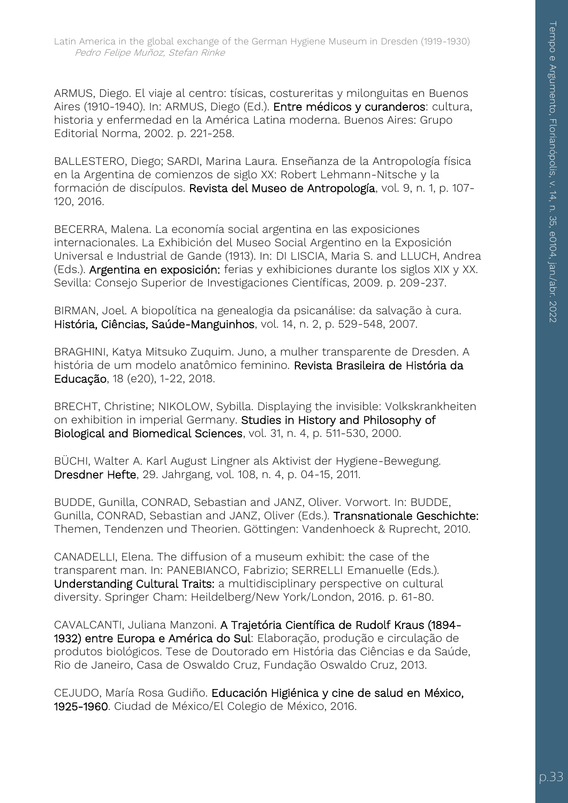ARMUS, Diego. El viaje al centro: tísicas, costureritas y milonguitas en Buenos Aires (1910-1940). In: ARMUS, Diego (Ed.). Entre médicos y curanderos: cultura, historia y enfermedad en la América Latina moderna. Buenos Aires: Grupo Editorial Norma, 2002. p. 221-258.

BALLESTERO, Diego; SARDI, Marina Laura. Enseñanza de la Antropología física en la Argentina de comienzos de siglo XX: Robert Lehmann-Nitsche y la formación de discípulos. Revista del Museo de Antropología, vol. 9, n. 1, p. 107- 120, 2016.

BECERRA, Malena. La economía social argentina en las exposiciones internacionales. La Exhibición del Museo Social Argentino en la Exposición Universal e Industrial de Gande (1913). In: DI LISCIA, Maria S. and LLUCH, Andrea (Eds.). Argentina en exposición: ferias y exhibiciones durante los siglos XIX y XX. Sevilla: Consejo Superior de Investigaciones Científicas, 2009. p. 209-237.

BIRMAN, Joel. A biopolítica na genealogia da psicanálise: da salvação à cura. História, Ciências, Saúde-Manguinhos, vol. 14, n. 2, p. 529-548, 2007.

BRAGHINI, Katya Mitsuko Zuquim. Juno, a mulher transparente de Dresden. A história de um modelo anatômico feminino. Revista Brasileira de História da Educação, 18 (e20), 1-22, 2018.

BRECHT, Christine; NIKOLOW, Sybilla. Displaying the invisible: Volkskrankheiten on exhibition in imperial Germany. Studies in History and Philosophy of Biological and Biomedical Sciences, vol. 31, n. 4, p. 511-530, 2000.

BÜCHI, Walter A. Karl August Lingner als Aktivist der Hygiene-Bewegung. Dresdner Hefte, 29. Jahrgang, vol. 108, n. 4, p. 04-15, 2011.

BUDDE, Gunilla, CONRAD, Sebastian and JANZ, Oliver. Vorwort. In: BUDDE, Gunilla, CONRAD, Sebastian and JANZ, Oliver (Eds.). Transnationale Geschichte: Themen, Tendenzen und Theorien. Göttingen: Vandenhoeck & Ruprecht, 2010.

CANADELLI, Elena. The diffusion of a museum exhibit: the case of the transparent man. In: PANEBIANCO, Fabrizio; SERRELLI Emanuelle (Eds.). Understanding Cultural Traits: a multidisciplinary perspective on cultural diversity. Springer Cham: Heildelberg/New York/London, 2016. p. 61-80.

CAVALCANTI, Juliana Manzoni. A Trajetória Científica de Rudolf Kraus (1894- 1932) entre Europa e América do Sul: Elaboração, produção e circulação de produtos biológicos. Tese de Doutorado em História das Ciências e da Saúde, Rio de Janeiro, Casa de Oswaldo Cruz, Fundação Oswaldo Cruz, 2013.

CEJUDO, María Rosa Gudiño. Educación Higiénica y cine de salud en México, 1925-1960. Ciudad de México/El Colegio de México, 2016.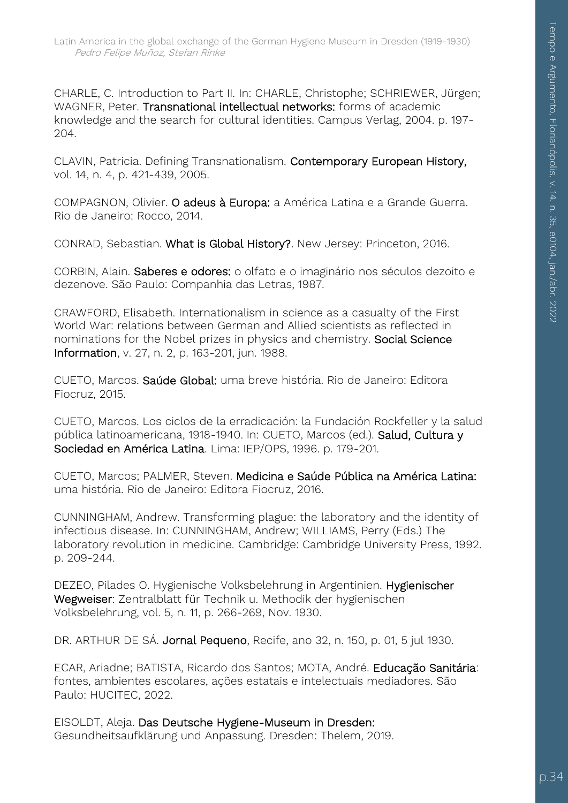CHARLE, C. Introduction to Part II. In: CHARLE, Christophe; SCHRIEWER, Jürgen; WAGNER, Peter. Transnational intellectual networks: forms of academic knowledge and the search for cultural identities. Campus Verlag, 2004. p. 197- 204.

CLAVIN, Patricia. Defining Transnationalism. Contemporary European History, vol. 14, n. 4, p. 421-439, 2005.

COMPAGNON, Olivier. O adeus à Europa: a América Latina e a Grande Guerra. Rio de Janeiro: Rocco, 2014.

CONRAD, Sebastian. What is Global History?. New Jersey: Princeton, 2016.

CORBIN, Alain. Saberes e odores: o olfato e o imaginário nos séculos dezoito e dezenove. São Paulo: Companhia das Letras, 1987.

CRAWFORD, Elisabeth. Internationalism in science as a casualty of the First World War: relations between German and Allied scientists as reflected in nominations for the Nobel prizes in physics and chemistry. Social Science Information, v. 27, n. 2, p. 163-201, jun. 1988.

CUETO, Marcos. Saúde Global: uma breve história. Rio de Janeiro: Editora Fiocruz, 2015.

CUETO, Marcos. Los ciclos de la erradicación: la Fundación Rockfeller y la salud pública latinoamericana, 1918-1940. In: CUETO, Marcos (ed.). Salud, Cultura y Sociedad en América Latina. Lima: IEP/OPS, 1996. p. 179-201.

CUETO, Marcos; PALMER, Steven. Medicina e Saúde Pública na América Latina: uma história. Rio de Janeiro: Editora Fiocruz, 2016.

CUNNINGHAM, Andrew. Transforming plague: the laboratory and the identity of infectious disease. In: CUNNINGHAM, Andrew; WILLIAMS, Perry (Eds.) The laboratory revolution in medicine. Cambridge: Cambridge University Press, 1992. p. 209-244.

DEZEO, Pilades O. Hygienische Volksbelehrung in Argentinien. Hygienischer Wegweiser: Zentralblatt für Technik u. Methodik der hygienischen Volksbelehrung, vol. 5, n. 11, p. 266-269, Nov. 1930.

DR. ARTHUR DE SÁ. Jornal Pequeno, Recife, ano 32, n. 150, p. 01, 5 jul 1930.

ECAR, Ariadne; BATISTA, Ricardo dos Santos; MOTA, André. Educação Sanitária: fontes, ambientes escolares, ações estatais e intelectuais mediadores. São Paulo: HUCITEC, 2022.

EISOLDT, Aleja. Das Deutsche Hygiene-Museum in Dresden: Gesundheitsaufklärung und Anpassung. Dresden: Thelem, 2019.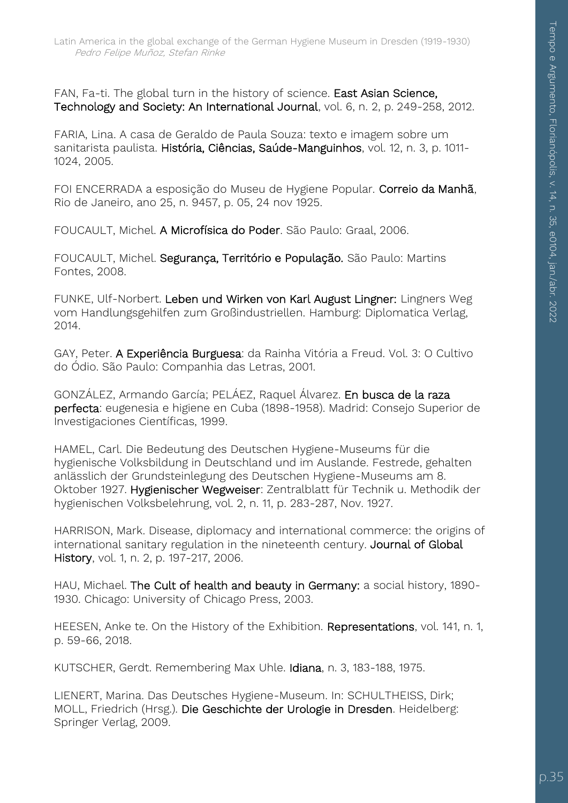FAN, Fa-ti. The global turn in the history of science. East Asian Science, Technology and Society: An International Journal, vol. 6, n. 2, p. 249-258, 2012.

FARIA, Lina. A casa de Geraldo de Paula Souza: texto e imagem sobre um sanitarista paulista. História, Ciências, Saúde-Manguinhos, vol. 12, n. 3, p. 1011- 1024, 2005.

FOI ENCERRADA a esposição do Museu de Hygiene Popular. Correio da Manhã, Rio de Janeiro, ano 25, n. 9457, p. 05, 24 nov 1925.

FOUCAULT, Michel. A Microfísica do Poder. São Paulo: Graal, 2006.

FOUCAULT, Michel. Segurança, Território e População. São Paulo: Martins Fontes, 2008.

FUNKE, Ulf-Norbert. Leben und Wirken von Karl August Lingner: Lingners Weg vom Handlungsgehilfen zum Großindustriellen. Hamburg: Diplomatica Verlag, 2014.

GAY, Peter. A Experiência Burguesa: da Rainha Vitória a Freud. Vol. 3: O Cultivo do Ódio. São Paulo: Companhia das Letras, 2001.

GONZÁLEZ, Armando García; PELÁEZ, Raquel Álvarez. En busca de la raza perfecta: eugenesia e higiene en Cuba (1898-1958). Madrid: Consejo Superior de Investigaciones Científicas, 1999.

HAMEL, Carl. Die Bedeutung des Deutschen Hygiene-Museums für die hygienische Volksbildung in Deutschland und im Auslande. Festrede, gehalten anlässlich der Grundsteinlegung des Deutschen Hygiene-Museums am 8. Oktober 1927. Hygienischer Wegweiser: Zentralblatt für Technik u. Methodik der hygienischen Volksbelehrung, vol. 2, n. 11, p. 283-287, Nov. 1927.

HARRISON, Mark. Disease, diplomacy and international commerce: the origins of international sanitary regulation in the nineteenth century. Journal of Global History, vol. 1, n. 2, p. 197-217, 2006.

HAU, Michael. The Cult of health and beauty in Germany: a social history, 1890- 1930. Chicago: University of Chicago Press, 2003.

HEESEN, Anke te. On the History of the Exhibition. Representations, vol. 141, n. 1, p. 59-66, 2018.

KUTSCHER, Gerdt. Remembering Max Uhle. Idiana, n. 3, 183-188, 1975.

LIENERT, Marina. Das Deutsches Hygiene-Museum. In: SCHULTHEISS, Dirk; MOLL, Friedrich (Hrsg.). Die Geschichte der Urologie in Dresden. Heidelberg: Springer Verlag, 2009.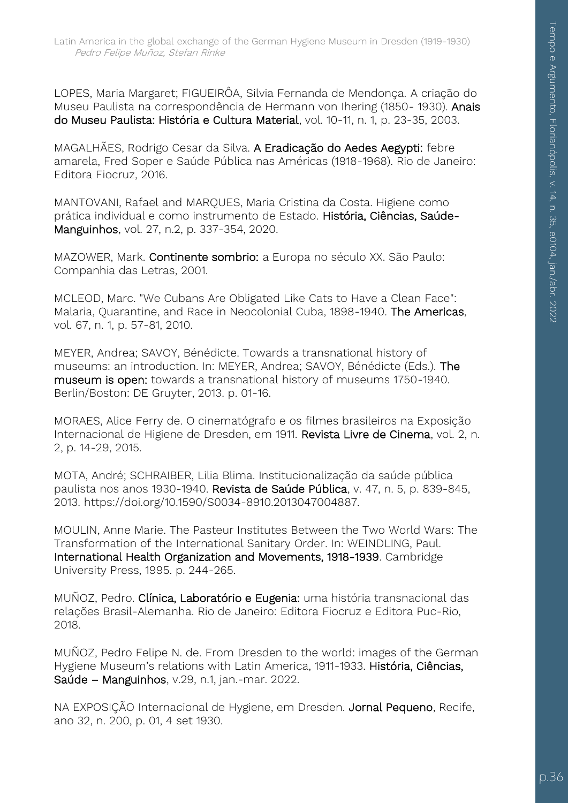LOPES, Maria Margaret; FIGUEIRÔA, Silvia Fernanda de Mendonça. A criação do Museu Paulista na correspondência de Hermann von Ihering (1850- 1930). Anais do Museu Paulista: História e Cultura Material, vol. 10-11, n. 1, p. 23-35, 2003.

MAGALHÃES, Rodrigo Cesar da Silva. A Eradicação do Aedes Aegypti: febre amarela, Fred Soper e Saúde Pública nas Américas (1918-1968). Rio de Janeiro: Editora Fiocruz, 2016.

MANTOVANI, Rafael and MARQUES, Maria Cristina da Costa. Higiene como prática individual e como instrumento de Estado. História, Ciências, Saúde-Manguinhos, vol. 27, n.2, p. 337-354, 2020.

MAZOWER, Mark. Continente sombrio: a Europa no século XX. São Paulo: Companhia das Letras, 2001.

MCLEOD, Marc. "We Cubans Are Obligated Like Cats to Have a Clean Face": Malaria, Quarantine, and Race in Neocolonial Cuba, 1898-1940. The Americas, vol. 67, n. 1, p. 57-81, 2010.

MEYER, Andrea; SAVOY, Bénédicte. Towards a transnational history of museums: an introduction. In: MEYER, Andrea; SAVOY, Bénédicte (Eds.). The museum is open: towards a transnational history of museums 1750-1940. Berlin/Boston: DE Gruyter, 2013. p. 01-16.

MORAES, Alice Ferry de. O cinematógrafo e os filmes brasileiros na Exposição Internacional de Higiene de Dresden, em 1911. Revista Livre de Cinema, vol. 2, n. 2, p. 14-29, 2015.

MOTA, André; SCHRAIBER, Lilia Blima. Institucionalização da saúde pública paulista nos anos 1930-1940. Revista de Saúde Pública, v. 47, n. 5, p. 839-845, 2013. https://doi.org/10.1590/S0034-8910.2013047004887.

MOULIN, Anne Marie. The Pasteur Institutes Between the Two World Wars: The Transformation of the International Sanitary Order. In: WEINDLING, Paul. International Health Organization and Movements, 1918-1939. Cambridge University Press, 1995. p. 244-265.

MUÑOZ, Pedro. Clínica, Laboratório e Eugenia: uma história transnacional das relações Brasil-Alemanha. Rio de Janeiro: Editora Fiocruz e Editora Puc-Rio, 2018.

MUÑOZ, Pedro Felipe N. de. From Dresden to the world: images of the German Hygiene Museum's relations with Latin America, 1911-1933. História, Ciências, Saúde – Manguinhos, v.29, n.1, jan.-mar. 2022.

NA EXPOSIÇÃO Internacional de Hygiene, em Dresden. Jornal Pequeno, Recife, ano 32, n. 200, p. 01, 4 set 1930.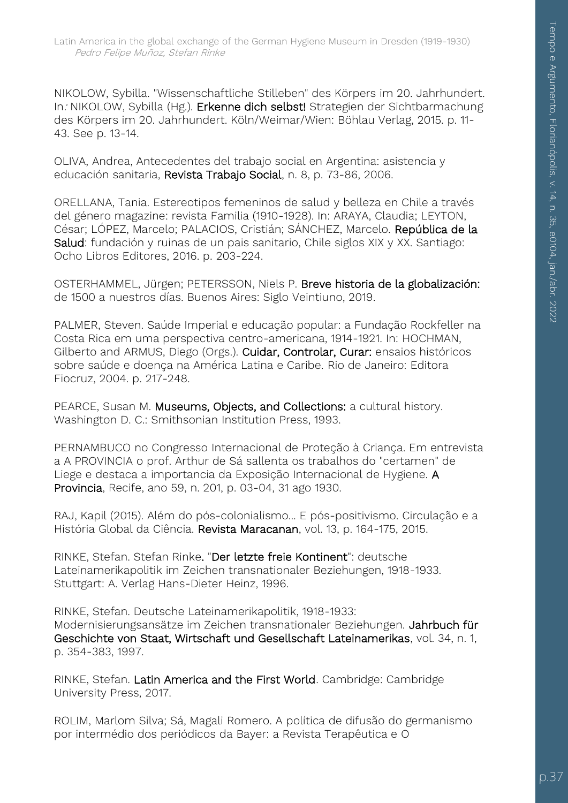NIKOLOW, Sybilla. "Wissenschaftliche Stilleben" des Körpers im 20. Jahrhundert. In. NIKOLOW, Sybilla (Hg.). Erkenne dich selbst! Strategien der Sichtbarmachung des Körpers im 20. Jahrhundert. Köln/Weimar/Wien: Böhlau Verlag, 2015. p. 11- 43. See p. 13-14.

OLIVA, Andrea, Antecedentes del trabajo social en Argentina: asistencia y educación sanitaria, Revista Trabajo Social, n. 8, p. 73-86, 2006.

ORELLANA, Tania. Estereotipos femeninos de salud y belleza en Chile a través del género magazine: revista Familia (1910-1928). In: ARAYA, Claudia; LEYTON, César; LÓPEZ, Marcelo; PALACIOS, Cristián; SÁNCHEZ, Marcelo. República de la Salud: fundación y ruinas de un pais sanitario, Chile siglos XIX y XX. Santiago: Ocho Libros Editores, 2016. p. 203-224.

OSTERHAMMEL, Jürgen; PETERSSON, Niels P. Breve historia de la globalización: de 1500 a nuestros días. Buenos Aires: Siglo Veintiuno, 2019.

PALMER, Steven. Saúde Imperial e educação popular: a Fundação Rockfeller na Costa Rica em uma perspectiva centro-americana, 1914-1921. In: HOCHMAN, Gilberto and ARMUS, Diego (Orgs.). Cuidar, Controlar, Curar: ensaios históricos sobre saúde e doença na América Latina e Caribe. Rio de Janeiro: Editora Fiocruz, 2004. p. 217-248.

PEARCE, Susan M. Museums, Objects, and Collections: a cultural history. Washington D. C.: Smithsonian Institution Press, 1993.

PERNAMBUCO no Congresso Internacional de Proteção à Criança. Em entrevista a A PROVINCIA o prof. Arthur de Sá sallenta os trabalhos do "certamen" de Liege e destaca a importancia da Exposição Internacional de Hygiene. A Provincia, Recife, ano 59, n. 201, p. 03-04, 31 ago 1930.

RAJ, Kapil (2015). Além do pós-colonialismo... E pós-positivismo. Circulação e a História Global da Ciência. Revista Maracanan, vol. 13, p. 164-175, 2015.

RINKE, Stefan. Stefan Rinke. "Der letzte freie Kontinent": deutsche Lateinamerikapolitik im Zeichen transnationaler Beziehungen, 1918-1933. Stuttgart: A. Verlag Hans-Dieter Heinz, 1996.

RINKE, Stefan. Deutsche Lateinamerikapolitik, 1918-1933: Modernisierungsansätze im Zeichen transnationaler Beziehungen. Jahrbuch für Geschichte von Staat, Wirtschaft und Gesellschaft Lateinamerikas, vol. 34, n. 1, p. 354-383, 1997.

RINKE, Stefan. Latin America and the First World. Cambridge: Cambridge University Press, 2017.

ROLIM, Marlom Silva; Sá, Magali Romero. A política de difusão do germanismo por intermédio dos periódicos da Bayer: a Revista Terapêutica e O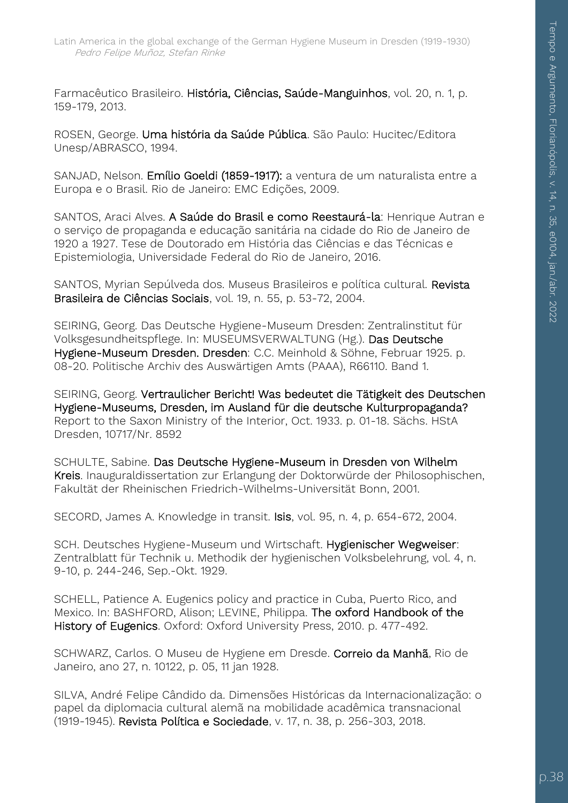Farmacêutico Brasileiro. História, Ciências, Saúde-Manguinhos, vol. 20, n. 1, p. 159-179, 2013.

ROSEN, George. Uma história da Saúde Pública. São Paulo: Hucitec/Editora Unesp/ABRASCO, 1994.

SANJAD, Nelson. Emílio Goeldi (1859-1917): a ventura de um naturalista entre a Europa e o Brasil. Rio de Janeiro: EMC Edições, 2009.

SANTOS, Araci Alves. A Saúde do Brasil e como Reestaurá-la: Henrique Autran e o serviço de propaganda e educação sanitária na cidade do Rio de Janeiro de 1920 a 1927. Tese de Doutorado em História das Ciências e das Técnicas e Epistemiologia, Universidade Federal do Rio de Janeiro, 2016.

SANTOS, Myrian Sepúlveda dos. Museus Brasileiros e política cultural. Revista Brasileira de Ciências Sociais, vol. 19, n. 55, p. 53-72, 2004.

SEIRING, Georg. Das Deutsche Hygiene-Museum Dresden: Zentralinstitut für Volksgesundheitspflege. In: MUSEUMSVERWALTUNG (Hg.). Das Deutsche Hygiene-Museum Dresden. Dresden: C.C. Meinhold & Söhne, Februar 1925. p. 08-20. Politische Archiv des Auswärtigen Amts (PAAA), R66110. Band 1.

SEIRING, Georg. Vertraulicher Bericht! Was bedeutet die Tätigkeit des Deutschen Hygiene-Museums, Dresden, im Ausland für die deutsche Kulturpropaganda? Report to the Saxon Ministry of the Interior, Oct. 1933. p. 01-18. Sächs. HStA Dresden, 10717/Nr. 8592

SCHULTE, Sabine. Das Deutsche Hygiene-Museum in Dresden von Wilhelm Kreis. Inauguraldissertation zur Erlangung der Doktorwürde der Philosophischen, Fakultät der Rheinischen Friedrich-Wilhelms-Universität Bonn, 2001.

SECORD, James A. Knowledge in transit. Isis, vol. 95, n. 4, p. 654-672, 2004.

SCH. Deutsches Hygiene-Museum und Wirtschaft. Hygienischer Wegweiser: Zentralblatt für Technik u. Methodik der hygienischen Volksbelehrung, vol. 4, n. 9-10, p. 244-246, Sep.-Okt. 1929.

SCHELL, Patience A. Eugenics policy and practice in Cuba, Puerto Rico, and Mexico. In: BASHFORD, Alison; LEVINE, Philippa. The oxford Handbook of the History of Eugenics. Oxford: Oxford University Press, 2010. p. 477-492.

SCHWARZ, Carlos. O Museu de Hygiene em Dresde. Correio da Manhã, Rio de Janeiro, ano 27, n. 10122, p. 05, 11 jan 1928.

SILVA, André Felipe Cândido da. Dimensões Históricas da Internacionalização: o papel da diplomacia cultural alemã na mobilidade acadêmica transnacional (1919-1945). Revista Política e Sociedade, v. 17, n. 38, p. 256-303, 2018.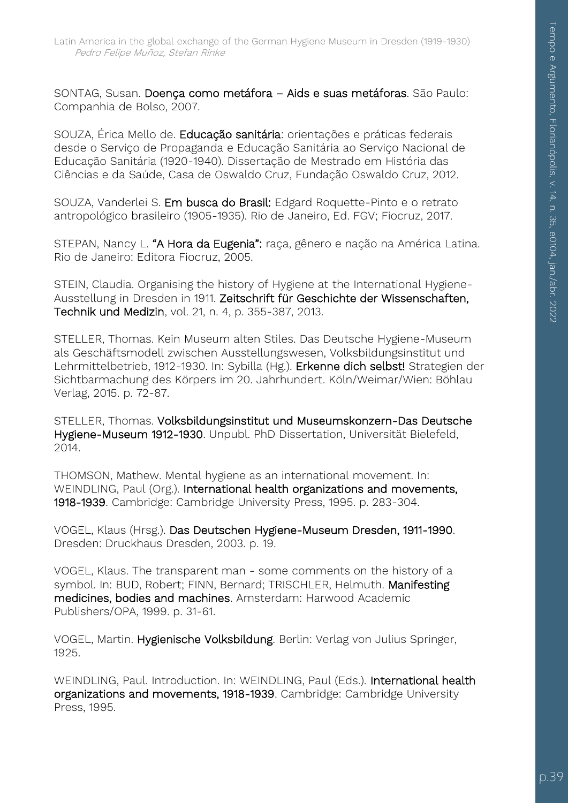SONTAG, Susan. Doença como metáfora – Aids e suas metáforas. São Paulo: Companhia de Bolso, 2007.

SOUZA, Érica Mello de. Educação sanitária: orientações e práticas federais desde o Serviço de Propaganda e Educação Sanitária ao Serviço Nacional de Educação Sanitária (1920-1940). Dissertação de Mestrado em História das Ciências e da Saúde, Casa de Oswaldo Cruz, Fundação Oswaldo Cruz, 2012.

SOUZA, Vanderlei S. Em busca do Brasil: Edgard Roquette-Pinto e o retrato antropológico brasileiro (1905-1935). Rio de Janeiro, Ed. FGV; Fiocruz, 2017.

STEPAN, Nancy L. "A Hora da Eugenia": raça, gênero e nação na América Latina. Rio de Janeiro: Editora Fiocruz, 2005.

STEIN, Claudia. Organising the history of Hygiene at the International Hygiene-Ausstellung in Dresden in 1911. Zeitschrift für Geschichte der Wissenschaften, Technik und Medizin, vol. 21, n. 4, p. 355-387, 2013.

STELLER, Thomas. Kein Museum alten Stiles. Das Deutsche Hygiene-Museum als Geschäftsmodell zwischen Ausstellungswesen, Volksbildungsinstitut und Lehrmittelbetrieb, 1912-1930. In: Sybilla (Hg.). Erkenne dich selbst! Strategien der Sichtbarmachung des Körpers im 20. Jahrhundert. Köln/Weimar/Wien: Böhlau Verlag, 2015. p. 72-87.

STELLER, Thomas. Volksbildungsinstitut und Museumskonzern-Das Deutsche Hygiene-Museum 1912-1930. Unpubl. PhD Dissertation, Universität Bielefeld, 2014.

THOMSON, Mathew. Mental hygiene as an international movement. In: WEINDLING, Paul (Org.). International health organizations and movements, 1918-1939. Cambridge: Cambridge University Press, 1995. p. 283-304.

VOGEL, Klaus (Hrsg.). Das Deutschen Hygiene-Museum Dresden, 1911-1990. Dresden: Druckhaus Dresden, 2003. p. 19.

VOGEL, Klaus. The transparent man - some comments on the history of a symbol. In: BUD, Robert; FINN, Bernard; TRISCHLER, Helmuth. Manifesting medicines, bodies and machines. Amsterdam: Harwood Academic Publishers/OPA, 1999. p. 31-61.

VOGEL, Martin. Hygienische Volksbildung. Berlin: Verlag von Julius Springer, 1925.

WEINDLING, Paul. Introduction. In: WEINDLING, Paul (Eds.). International health organizations and movements, 1918-1939. Cambridge: Cambridge University Press, 1995.